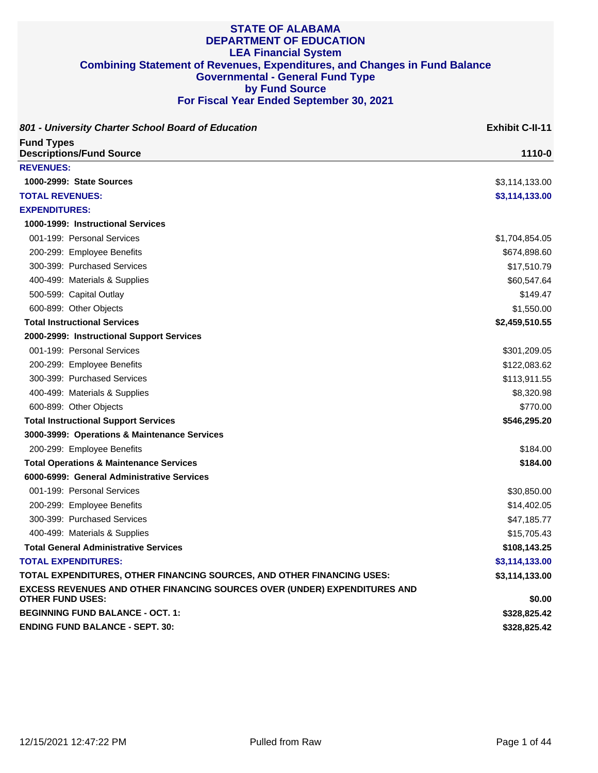| 801 - University Charter School Board of Education                                                   | <b>Exhibit C-II-11</b> |
|------------------------------------------------------------------------------------------------------|------------------------|
| <b>Fund Types</b><br><b>Descriptions/Fund Source</b>                                                 | 1110-0                 |
| <b>REVENUES:</b>                                                                                     |                        |
| 1000-2999: State Sources                                                                             | \$3,114,133.00         |
| <b>TOTAL REVENUES:</b>                                                                               | \$3,114,133.00         |
| <b>EXPENDITURES:</b>                                                                                 |                        |
| 1000-1999: Instructional Services                                                                    |                        |
| 001-199: Personal Services                                                                           | \$1,704,854.05         |
| 200-299: Employee Benefits                                                                           | \$674,898.60           |
| 300-399: Purchased Services                                                                          | \$17,510.79            |
| 400-499: Materials & Supplies                                                                        | \$60,547.64            |
| 500-599: Capital Outlay                                                                              | \$149.47               |
| 600-899: Other Objects                                                                               | \$1,550.00             |
| <b>Total Instructional Services</b>                                                                  | \$2,459,510.55         |
| 2000-2999: Instructional Support Services                                                            |                        |
| 001-199: Personal Services                                                                           | \$301,209.05           |
| 200-299: Employee Benefits                                                                           | \$122,083.62           |
| 300-399: Purchased Services                                                                          | \$113,911.55           |
| 400-499: Materials & Supplies                                                                        | \$8,320.98             |
| 600-899: Other Objects                                                                               | \$770.00               |
| <b>Total Instructional Support Services</b>                                                          | \$546,295.20           |
| 3000-3999: Operations & Maintenance Services                                                         |                        |
| 200-299: Employee Benefits                                                                           | \$184.00               |
| <b>Total Operations &amp; Maintenance Services</b>                                                   | \$184.00               |
| 6000-6999: General Administrative Services                                                           |                        |
| 001-199: Personal Services                                                                           | \$30,850.00            |
| 200-299: Employee Benefits                                                                           | \$14,402.05            |
| 300-399: Purchased Services                                                                          | \$47,185.77            |
| 400-499: Materials & Supplies                                                                        | \$15,705.43            |
| <b>Total General Administrative Services</b>                                                         | \$108,143.25           |
| <b>TOTAL EXPENDITURES:</b>                                                                           | \$3,114,133.00         |
| TOTAL EXPENDITURES, OTHER FINANCING SOURCES, AND OTHER FINANCING USES:                               | \$3,114,133.00         |
| EXCESS REVENUES AND OTHER FINANCING SOURCES OVER (UNDER) EXPENDITURES AND<br><b>OTHER FUND USES:</b> | \$0.00                 |
| <b>BEGINNING FUND BALANCE - OCT. 1:</b>                                                              | \$328,825.42           |
| <b>ENDING FUND BALANCE - SEPT. 30:</b>                                                               | \$328,825.42           |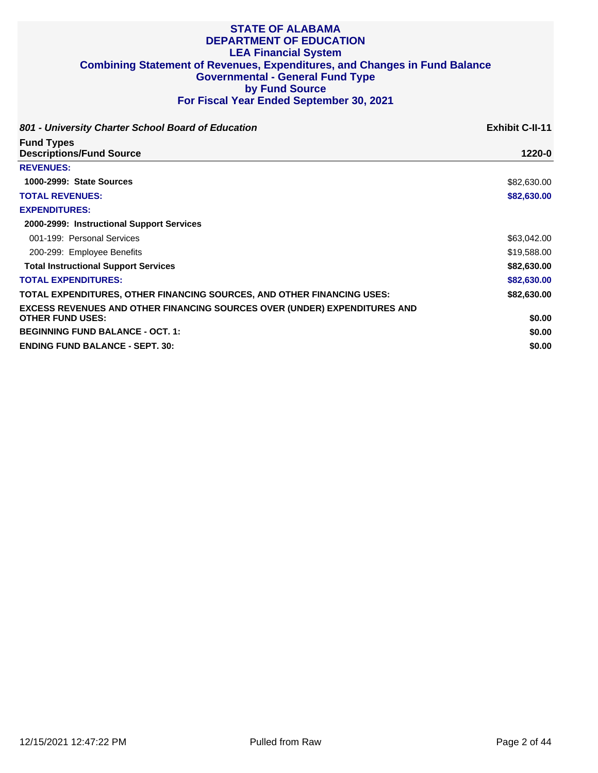| 801 - University Charter School Board of Education                                                          | <b>Exhibit C-II-11</b> |
|-------------------------------------------------------------------------------------------------------------|------------------------|
| <b>Fund Types</b><br><b>Descriptions/Fund Source</b>                                                        | 1220-0                 |
| <b>REVENUES:</b>                                                                                            |                        |
| 1000-2999: State Sources                                                                                    | \$82,630.00            |
| <b>TOTAL REVENUES:</b>                                                                                      | \$82,630.00            |
| <b>EXPENDITURES:</b>                                                                                        |                        |
| 2000-2999: Instructional Support Services                                                                   |                        |
| 001-199: Personal Services                                                                                  | \$63,042.00            |
| 200-299: Employee Benefits                                                                                  | \$19,588.00            |
| <b>Total Instructional Support Services</b>                                                                 | \$82,630.00            |
| <b>TOTAL EXPENDITURES:</b>                                                                                  | \$82,630.00            |
| TOTAL EXPENDITURES, OTHER FINANCING SOURCES, AND OTHER FINANCING USES:                                      | \$82,630.00            |
| <b>EXCESS REVENUES AND OTHER FINANCING SOURCES OVER (UNDER) EXPENDITURES AND</b><br><b>OTHER FUND USES:</b> | \$0.00                 |
| <b>BEGINNING FUND BALANCE - OCT. 1:</b>                                                                     | \$0.00                 |
| <b>ENDING FUND BALANCE - SEPT. 30:</b>                                                                      | \$0.00                 |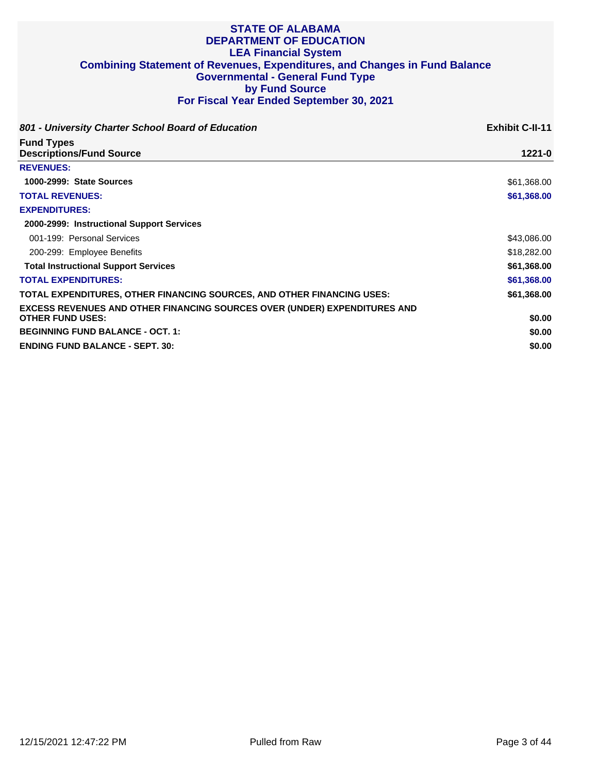| 801 - University Charter School Board of Education                               | <b>Exhibit C-II-11</b> |
|----------------------------------------------------------------------------------|------------------------|
| <b>Fund Types</b><br><b>Descriptions/Fund Source</b>                             | $1221 - 0$             |
| <b>REVENUES:</b>                                                                 |                        |
| 1000-2999: State Sources                                                         | \$61,368.00            |
| <b>TOTAL REVENUES:</b>                                                           | \$61,368.00            |
| <b>EXPENDITURES:</b>                                                             |                        |
| 2000-2999: Instructional Support Services                                        |                        |
| 001-199: Personal Services                                                       | \$43,086.00            |
| 200-299: Employee Benefits                                                       | \$18,282.00            |
| <b>Total Instructional Support Services</b>                                      | \$61,368.00            |
| <b>TOTAL EXPENDITURES:</b>                                                       | \$61,368.00            |
| TOTAL EXPENDITURES, OTHER FINANCING SOURCES, AND OTHER FINANCING USES:           | \$61,368.00            |
| <b>EXCESS REVENUES AND OTHER FINANCING SOURCES OVER (UNDER) EXPENDITURES AND</b> |                        |
| <b>OTHER FUND USES:</b>                                                          | \$0.00                 |
| <b>BEGINNING FUND BALANCE - OCT. 1:</b>                                          | \$0.00                 |
| <b>ENDING FUND BALANCE - SEPT. 30:</b>                                           | \$0.00                 |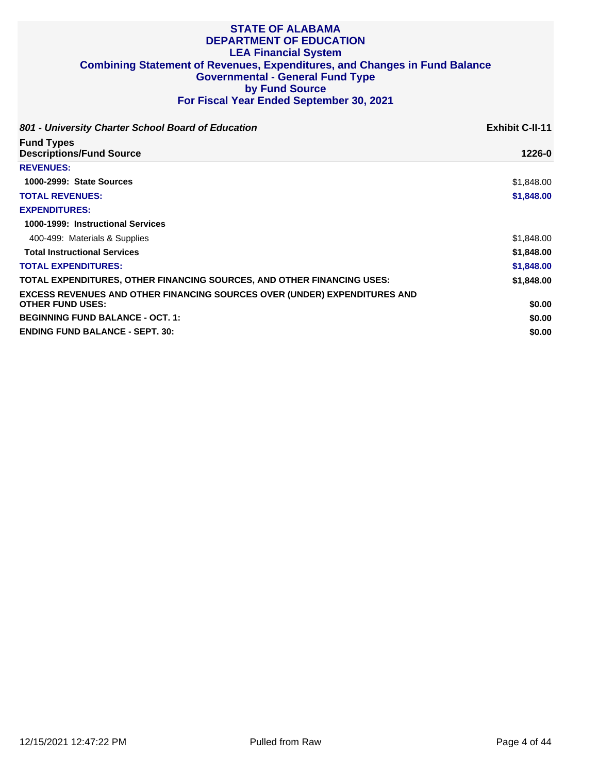| 801 - University Charter School Board of Education                                                          | <b>Exhibit C-II-11</b> |
|-------------------------------------------------------------------------------------------------------------|------------------------|
| <b>Fund Types</b><br><b>Descriptions/Fund Source</b>                                                        | 1226-0                 |
| <b>REVENUES:</b>                                                                                            |                        |
| 1000-2999: State Sources                                                                                    | \$1,848.00             |
| <b>TOTAL REVENUES:</b>                                                                                      | \$1,848.00             |
| <b>EXPENDITURES:</b>                                                                                        |                        |
| 1000-1999: Instructional Services                                                                           |                        |
| 400-499: Materials & Supplies                                                                               | \$1,848.00             |
| <b>Total Instructional Services</b>                                                                         | \$1,848.00             |
| <b>TOTAL EXPENDITURES:</b>                                                                                  | \$1,848.00             |
| TOTAL EXPENDITURES, OTHER FINANCING SOURCES, AND OTHER FINANCING USES:                                      | \$1,848.00             |
| <b>EXCESS REVENUES AND OTHER FINANCING SOURCES OVER (UNDER) EXPENDITURES AND</b><br><b>OTHER FUND USES:</b> | \$0.00                 |
| <b>BEGINNING FUND BALANCE - OCT. 1:</b>                                                                     | \$0.00                 |
| <b>ENDING FUND BALANCE - SEPT. 30:</b>                                                                      | \$0.00                 |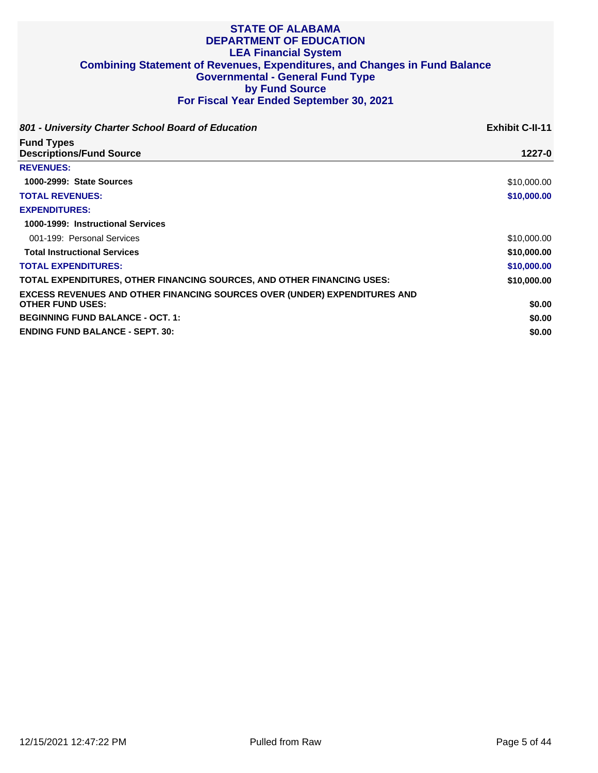| 801 - University Charter School Board of Education                                                          | <b>Exhibit C-II-11</b> |
|-------------------------------------------------------------------------------------------------------------|------------------------|
| <b>Fund Types</b><br><b>Descriptions/Fund Source</b>                                                        | 1227-0                 |
| <b>REVENUES:</b>                                                                                            |                        |
| 1000-2999: State Sources                                                                                    | \$10,000.00            |
| <b>TOTAL REVENUES:</b>                                                                                      | \$10,000.00            |
| <b>EXPENDITURES:</b>                                                                                        |                        |
| 1000-1999: Instructional Services                                                                           |                        |
| 001-199: Personal Services                                                                                  | \$10,000.00            |
| <b>Total Instructional Services</b>                                                                         | \$10,000.00            |
| <b>TOTAL EXPENDITURES:</b>                                                                                  | \$10,000.00            |
| TOTAL EXPENDITURES, OTHER FINANCING SOURCES, AND OTHER FINANCING USES:                                      | \$10,000.00            |
| <b>EXCESS REVENUES AND OTHER FINANCING SOURCES OVER (UNDER) EXPENDITURES AND</b><br><b>OTHER FUND USES:</b> | \$0.00                 |
| <b>BEGINNING FUND BALANCE - OCT. 1:</b>                                                                     | \$0.00                 |
| <b>ENDING FUND BALANCE - SEPT. 30:</b>                                                                      | \$0.00                 |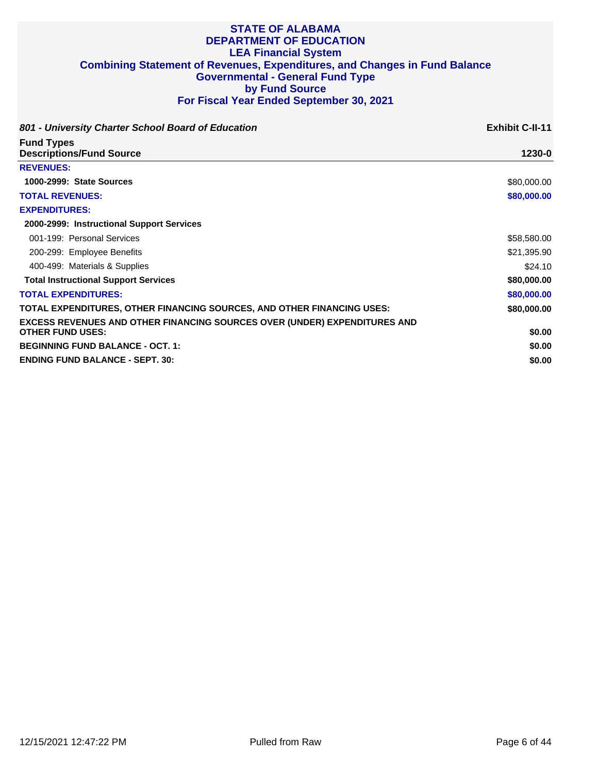| 801 - University Charter School Board of Education                               | <b>Exhibit C-II-11</b> |
|----------------------------------------------------------------------------------|------------------------|
| <b>Fund Types</b><br><b>Descriptions/Fund Source</b>                             | 1230-0                 |
| <b>REVENUES:</b>                                                                 |                        |
| 1000-2999: State Sources                                                         | \$80,000.00            |
| <b>TOTAL REVENUES:</b>                                                           | \$80,000.00            |
| <b>EXPENDITURES:</b>                                                             |                        |
| 2000-2999: Instructional Support Services                                        |                        |
| 001-199: Personal Services                                                       | \$58,580.00            |
| 200-299: Employee Benefits                                                       | \$21,395.90            |
| 400-499: Materials & Supplies                                                    | \$24.10                |
| <b>Total Instructional Support Services</b>                                      | \$80,000.00            |
| <b>TOTAL EXPENDITURES:</b>                                                       | \$80,000.00            |
| TOTAL EXPENDITURES, OTHER FINANCING SOURCES, AND OTHER FINANCING USES:           | \$80,000.00            |
| <b>EXCESS REVENUES AND OTHER FINANCING SOURCES OVER (UNDER) EXPENDITURES AND</b> |                        |
| <b>OTHER FUND USES:</b>                                                          | \$0.00                 |
| <b>BEGINNING FUND BALANCE - OCT. 1:</b>                                          | \$0.00                 |
| <b>ENDING FUND BALANCE - SEPT. 30:</b>                                           | \$0.00                 |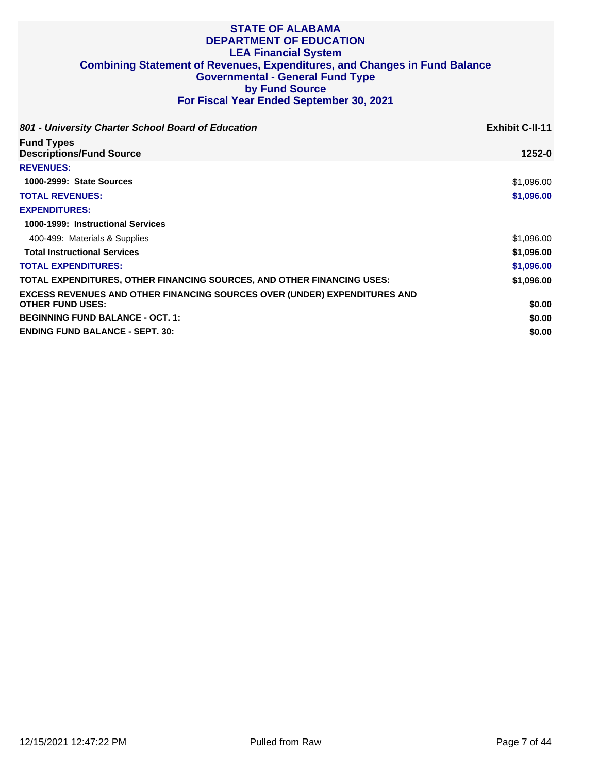| 801 - University Charter School Board of Education                                                          | <b>Exhibit C-II-11</b> |
|-------------------------------------------------------------------------------------------------------------|------------------------|
| <b>Fund Types</b><br><b>Descriptions/Fund Source</b>                                                        | 1252-0                 |
| <b>REVENUES:</b>                                                                                            |                        |
| 1000-2999: State Sources                                                                                    | \$1,096.00             |
| <b>TOTAL REVENUES:</b>                                                                                      | \$1,096.00             |
| <b>EXPENDITURES:</b>                                                                                        |                        |
| 1000-1999: Instructional Services                                                                           |                        |
| 400-499: Materials & Supplies                                                                               | \$1,096.00             |
| <b>Total Instructional Services</b>                                                                         | \$1,096.00             |
| <b>TOTAL EXPENDITURES:</b>                                                                                  | \$1,096.00             |
| TOTAL EXPENDITURES, OTHER FINANCING SOURCES, AND OTHER FINANCING USES:                                      | \$1,096.00             |
| <b>EXCESS REVENUES AND OTHER FINANCING SOURCES OVER (UNDER) EXPENDITURES AND</b><br><b>OTHER FUND USES:</b> | \$0.00                 |
| <b>BEGINNING FUND BALANCE - OCT. 1:</b>                                                                     | \$0.00                 |
| <b>ENDING FUND BALANCE - SEPT. 30:</b>                                                                      | \$0.00                 |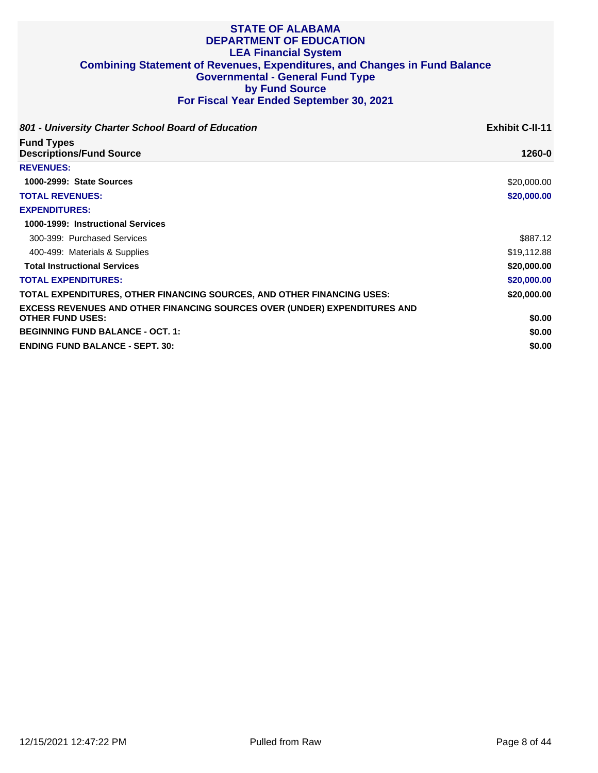| 801 - University Charter School Board of Education                               | <b>Exhibit C-II-11</b> |
|----------------------------------------------------------------------------------|------------------------|
| <b>Fund Types</b><br><b>Descriptions/Fund Source</b>                             | 1260-0                 |
| <b>REVENUES:</b>                                                                 |                        |
| 1000-2999: State Sources                                                         | \$20,000.00            |
| <b>TOTAL REVENUES:</b>                                                           | \$20,000.00            |
| <b>EXPENDITURES:</b>                                                             |                        |
| 1000-1999: Instructional Services                                                |                        |
| 300-399: Purchased Services                                                      | \$887.12               |
| 400-499: Materials & Supplies                                                    | \$19,112.88            |
| <b>Total Instructional Services</b>                                              | \$20,000.00            |
| <b>TOTAL EXPENDITURES:</b>                                                       | \$20,000.00            |
| TOTAL EXPENDITURES, OTHER FINANCING SOURCES, AND OTHER FINANCING USES:           | \$20,000.00            |
| <b>EXCESS REVENUES AND OTHER FINANCING SOURCES OVER (UNDER) EXPENDITURES AND</b> |                        |
| <b>OTHER FUND USES:</b>                                                          | \$0.00                 |
| <b>BEGINNING FUND BALANCE - OCT. 1:</b>                                          | \$0.00                 |
| <b>ENDING FUND BALANCE - SEPT. 30:</b>                                           | \$0.00                 |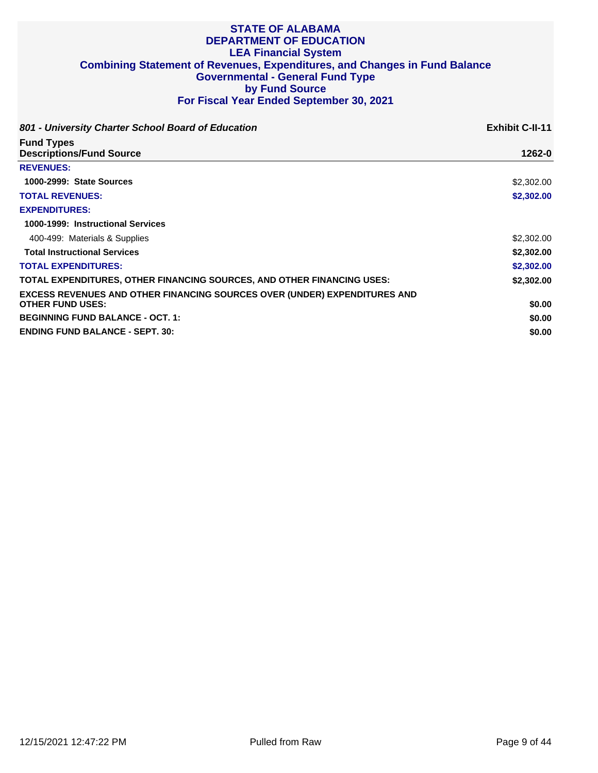| 801 - University Charter School Board of Education                                                          | <b>Exhibit C-II-11</b> |
|-------------------------------------------------------------------------------------------------------------|------------------------|
| <b>Fund Types</b><br><b>Descriptions/Fund Source</b>                                                        | 1262-0                 |
| <b>REVENUES:</b>                                                                                            |                        |
| 1000-2999: State Sources                                                                                    | \$2,302.00             |
| <b>TOTAL REVENUES:</b>                                                                                      | \$2,302.00             |
| <b>EXPENDITURES:</b>                                                                                        |                        |
| 1000-1999: Instructional Services                                                                           |                        |
| 400-499: Materials & Supplies                                                                               | \$2,302.00             |
| <b>Total Instructional Services</b>                                                                         | \$2,302.00             |
| <b>TOTAL EXPENDITURES:</b>                                                                                  | \$2,302.00             |
| TOTAL EXPENDITURES, OTHER FINANCING SOURCES, AND OTHER FINANCING USES:                                      | \$2,302,00             |
| <b>EXCESS REVENUES AND OTHER FINANCING SOURCES OVER (UNDER) EXPENDITURES AND</b><br><b>OTHER FUND USES:</b> | \$0.00                 |
| <b>BEGINNING FUND BALANCE - OCT. 1:</b>                                                                     | \$0.00                 |
| <b>ENDING FUND BALANCE - SEPT. 30:</b>                                                                      | \$0.00                 |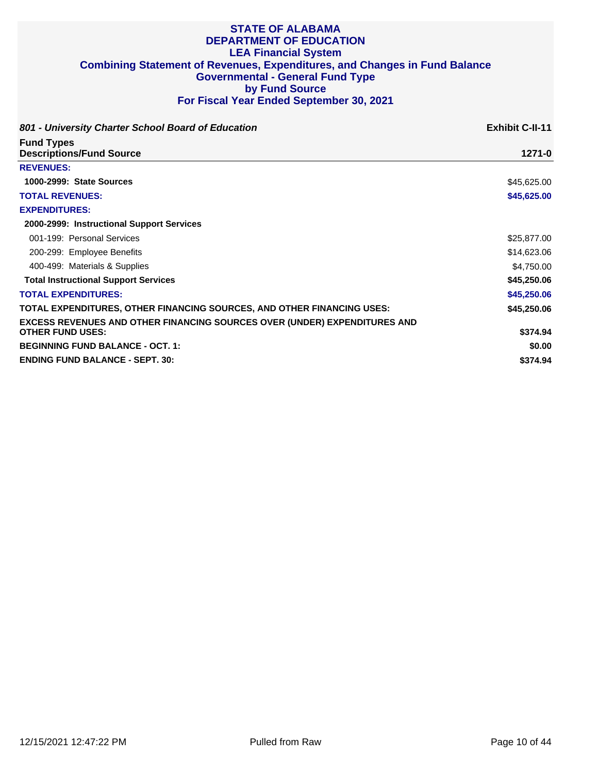| 801 - University Charter School Board of Education                        | <b>Exhibit C-II-11</b> |
|---------------------------------------------------------------------------|------------------------|
| <b>Fund Types</b><br><b>Descriptions/Fund Source</b>                      | $1271 - 0$             |
| <b>REVENUES:</b>                                                          |                        |
| 1000-2999: State Sources                                                  | \$45,625.00            |
| <b>TOTAL REVENUES:</b>                                                    | \$45,625.00            |
| <b>EXPENDITURES:</b>                                                      |                        |
| 2000-2999: Instructional Support Services                                 |                        |
| 001-199: Personal Services                                                | \$25,877.00            |
| 200-299: Employee Benefits                                                | \$14,623.06            |
| 400-499: Materials & Supplies                                             | \$4,750.00             |
| <b>Total Instructional Support Services</b>                               | \$45,250.06            |
| <b>TOTAL EXPENDITURES:</b>                                                | \$45,250.06            |
| TOTAL EXPENDITURES, OTHER FINANCING SOURCES, AND OTHER FINANCING USES:    | \$45,250.06            |
| EXCESS REVENUES AND OTHER FINANCING SOURCES OVER (UNDER) EXPENDITURES AND |                        |
| <b>OTHER FUND USES:</b>                                                   | \$374.94               |
| <b>BEGINNING FUND BALANCE - OCT. 1:</b>                                   | \$0.00                 |
| <b>ENDING FUND BALANCE - SEPT. 30:</b>                                    | \$374.94               |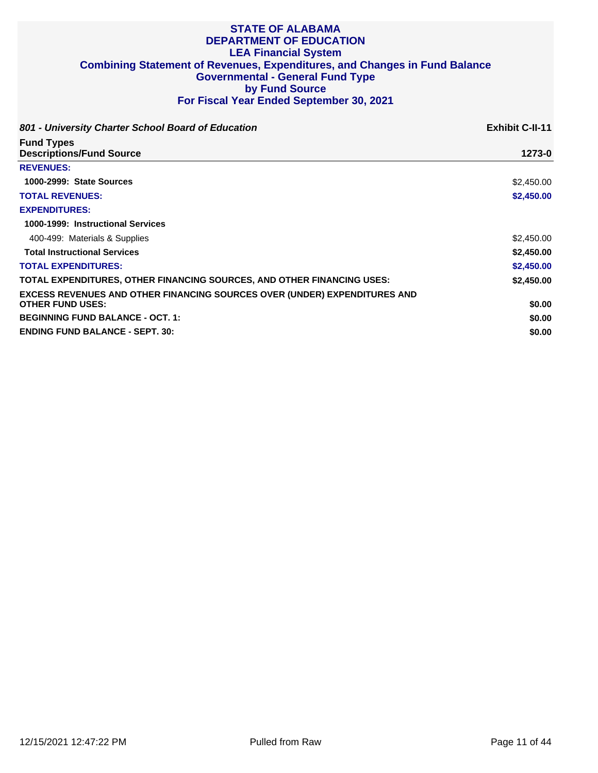| 801 - University Charter School Board of Education                                                          | <b>Exhibit C-II-11</b> |
|-------------------------------------------------------------------------------------------------------------|------------------------|
| <b>Fund Types</b><br><b>Descriptions/Fund Source</b>                                                        | 1273-0                 |
| <b>REVENUES:</b>                                                                                            |                        |
| 1000-2999: State Sources                                                                                    | \$2,450.00             |
| <b>TOTAL REVENUES:</b>                                                                                      | \$2,450.00             |
| <b>EXPENDITURES:</b>                                                                                        |                        |
| 1000-1999: Instructional Services                                                                           |                        |
| 400-499: Materials & Supplies                                                                               | \$2,450.00             |
| <b>Total Instructional Services</b>                                                                         | \$2,450.00             |
| <b>TOTAL EXPENDITURES:</b>                                                                                  | \$2,450.00             |
| TOTAL EXPENDITURES, OTHER FINANCING SOURCES, AND OTHER FINANCING USES:                                      | \$2,450,00             |
| <b>EXCESS REVENUES AND OTHER FINANCING SOURCES OVER (UNDER) EXPENDITURES AND</b><br><b>OTHER FUND USES:</b> | \$0.00                 |
| <b>BEGINNING FUND BALANCE - OCT. 1:</b>                                                                     | \$0.00                 |
| <b>ENDING FUND BALANCE - SEPT. 30:</b>                                                                      | \$0.00                 |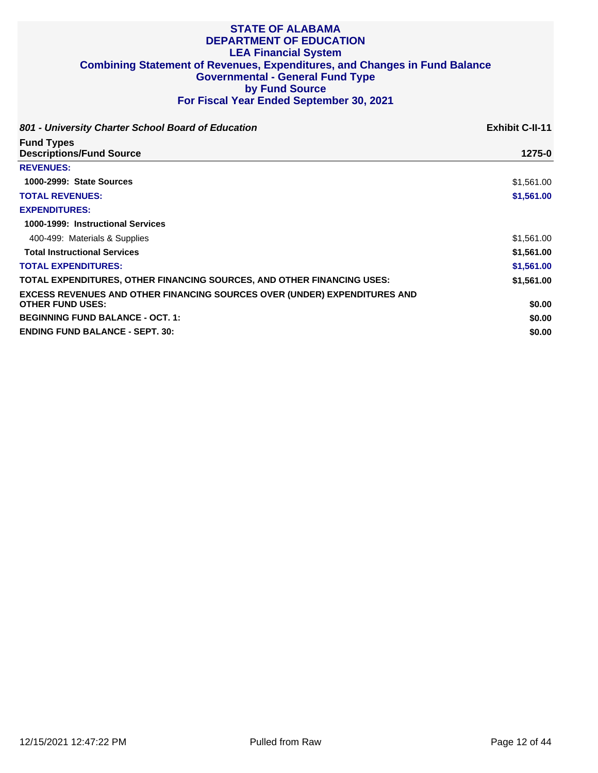| 801 - University Charter School Board of Education                                                          | <b>Exhibit C-II-11</b> |
|-------------------------------------------------------------------------------------------------------------|------------------------|
| <b>Fund Types</b><br><b>Descriptions/Fund Source</b>                                                        | 1275-0                 |
| <b>REVENUES:</b>                                                                                            |                        |
| 1000-2999: State Sources                                                                                    | \$1,561.00             |
| <b>TOTAL REVENUES:</b>                                                                                      | \$1,561.00             |
| <b>EXPENDITURES:</b>                                                                                        |                        |
| 1000-1999: Instructional Services                                                                           |                        |
| 400-499: Materials & Supplies                                                                               | \$1,561.00             |
| <b>Total Instructional Services</b>                                                                         | \$1,561.00             |
| <b>TOTAL EXPENDITURES:</b>                                                                                  | \$1,561.00             |
| TOTAL EXPENDITURES, OTHER FINANCING SOURCES, AND OTHER FINANCING USES:                                      | \$1,561.00             |
| <b>EXCESS REVENUES AND OTHER FINANCING SOURCES OVER (UNDER) EXPENDITURES AND</b><br><b>OTHER FUND USES:</b> | \$0.00                 |
| <b>BEGINNING FUND BALANCE - OCT. 1:</b>                                                                     | \$0.00                 |
| <b>ENDING FUND BALANCE - SEPT. 30:</b>                                                                      | \$0.00                 |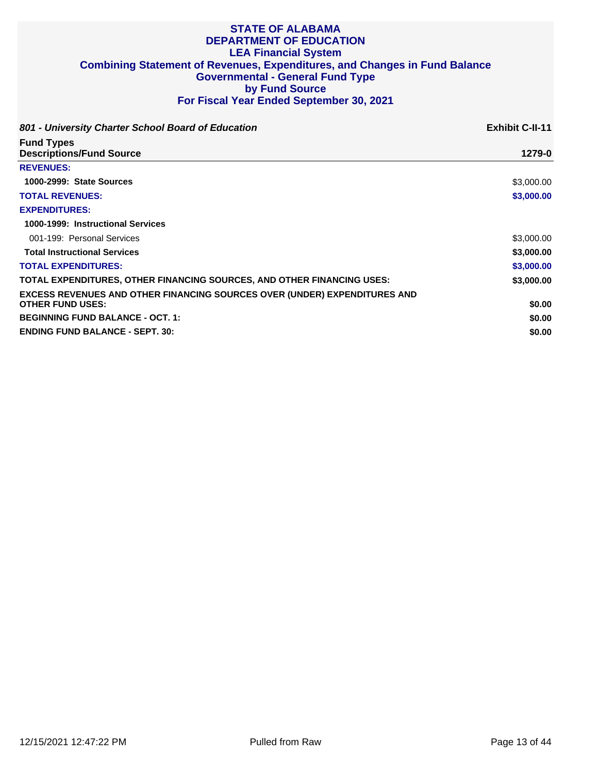| 801 - University Charter School Board of Education                                                          | <b>Exhibit C-II-11</b> |
|-------------------------------------------------------------------------------------------------------------|------------------------|
| <b>Fund Types</b><br><b>Descriptions/Fund Source</b>                                                        | 1279-0                 |
| <b>REVENUES:</b>                                                                                            |                        |
| 1000-2999: State Sources                                                                                    | \$3,000.00             |
| <b>TOTAL REVENUES:</b>                                                                                      | \$3,000.00             |
| <b>EXPENDITURES:</b>                                                                                        |                        |
| 1000-1999: Instructional Services                                                                           |                        |
| 001-199: Personal Services                                                                                  | \$3,000.00             |
| <b>Total Instructional Services</b>                                                                         | \$3,000.00             |
| <b>TOTAL EXPENDITURES:</b>                                                                                  | \$3,000.00             |
| TOTAL EXPENDITURES, OTHER FINANCING SOURCES, AND OTHER FINANCING USES:                                      | \$3,000.00             |
| <b>EXCESS REVENUES AND OTHER FINANCING SOURCES OVER (UNDER) EXPENDITURES AND</b><br><b>OTHER FUND USES:</b> | \$0.00                 |
| <b>BEGINNING FUND BALANCE - OCT. 1:</b>                                                                     | \$0.00                 |
| <b>ENDING FUND BALANCE - SEPT. 30:</b>                                                                      | \$0.00                 |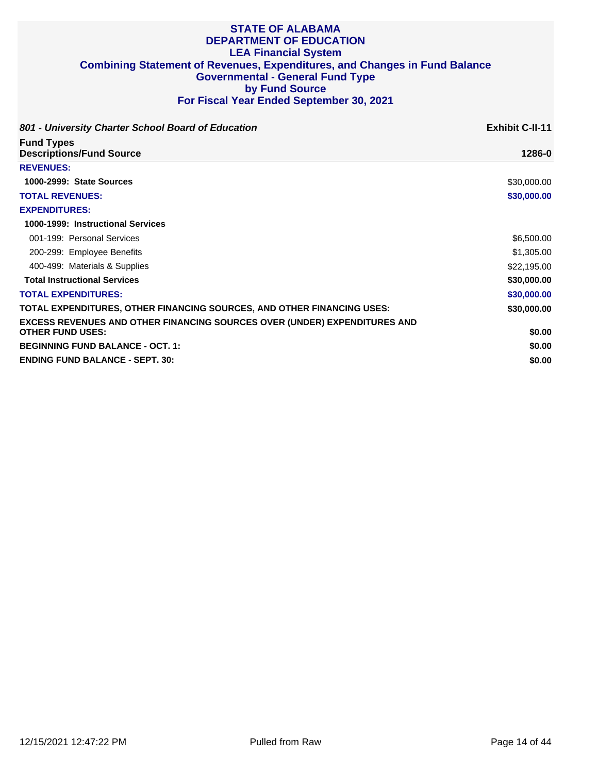| 801 - University Charter School Board of Education                               | <b>Exhibit C-II-11</b> |
|----------------------------------------------------------------------------------|------------------------|
| <b>Fund Types</b>                                                                | 1286-0                 |
| <b>Descriptions/Fund Source</b>                                                  |                        |
| <b>REVENUES:</b>                                                                 |                        |
| 1000-2999: State Sources                                                         | \$30,000.00            |
| <b>TOTAL REVENUES:</b>                                                           | \$30,000.00            |
| <b>EXPENDITURES:</b>                                                             |                        |
| 1000-1999: Instructional Services                                                |                        |
| 001-199: Personal Services                                                       | \$6,500.00             |
| 200-299: Employee Benefits                                                       | \$1,305.00             |
| 400-499: Materials & Supplies                                                    | \$22,195.00            |
| <b>Total Instructional Services</b>                                              | \$30,000.00            |
| <b>TOTAL EXPENDITURES:</b>                                                       | \$30,000.00            |
| TOTAL EXPENDITURES, OTHER FINANCING SOURCES, AND OTHER FINANCING USES:           | \$30,000.00            |
| <b>EXCESS REVENUES AND OTHER FINANCING SOURCES OVER (UNDER) EXPENDITURES AND</b> |                        |
| <b>OTHER FUND USES:</b>                                                          | \$0.00                 |
| <b>BEGINNING FUND BALANCE - OCT. 1:</b>                                          | \$0.00                 |
| <b>ENDING FUND BALANCE - SEPT. 30:</b>                                           | \$0.00                 |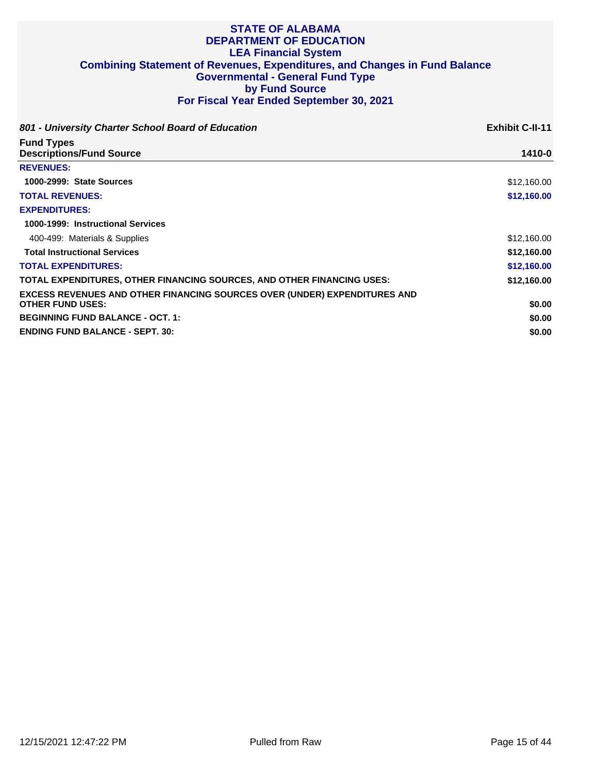| 801 - University Charter School Board of Education                                                          | <b>Exhibit C-II-11</b> |
|-------------------------------------------------------------------------------------------------------------|------------------------|
| <b>Fund Types</b><br><b>Descriptions/Fund Source</b>                                                        | 1410-0                 |
| <b>REVENUES:</b>                                                                                            |                        |
| 1000-2999: State Sources                                                                                    | \$12,160.00            |
| <b>TOTAL REVENUES:</b>                                                                                      | \$12,160.00            |
| <b>EXPENDITURES:</b>                                                                                        |                        |
| 1000-1999: Instructional Services                                                                           |                        |
| 400-499: Materials & Supplies                                                                               | \$12,160.00            |
| <b>Total Instructional Services</b>                                                                         | \$12,160.00            |
| <b>TOTAL EXPENDITURES:</b>                                                                                  | \$12,160.00            |
| TOTAL EXPENDITURES, OTHER FINANCING SOURCES, AND OTHER FINANCING USES:                                      | \$12,160.00            |
| <b>EXCESS REVENUES AND OTHER FINANCING SOURCES OVER (UNDER) EXPENDITURES AND</b><br><b>OTHER FUND USES:</b> | \$0.00                 |
| <b>BEGINNING FUND BALANCE - OCT. 1:</b>                                                                     | \$0.00                 |
| <b>ENDING FUND BALANCE - SEPT. 30:</b>                                                                      | \$0.00                 |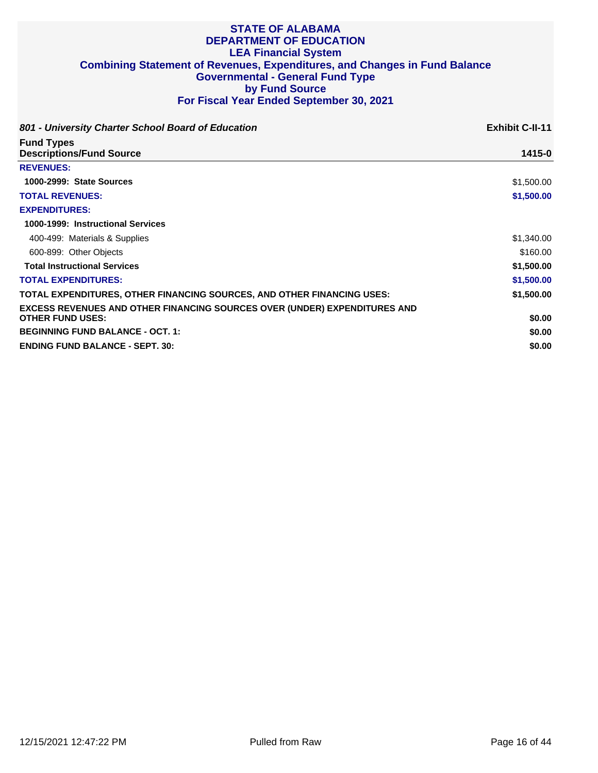| 801 - University Charter School Board of Education                               | <b>Exhibit C-II-11</b> |
|----------------------------------------------------------------------------------|------------------------|
| <b>Fund Types</b><br><b>Descriptions/Fund Source</b>                             | 1415-0                 |
| <b>REVENUES:</b>                                                                 |                        |
| 1000-2999: State Sources                                                         | \$1,500.00             |
| <b>TOTAL REVENUES:</b>                                                           | \$1,500.00             |
| <b>EXPENDITURES:</b>                                                             |                        |
| 1000-1999: Instructional Services                                                |                        |
| 400-499: Materials & Supplies                                                    | \$1,340.00             |
| 600-899: Other Objects                                                           | \$160.00               |
| <b>Total Instructional Services</b>                                              | \$1,500.00             |
| <b>TOTAL EXPENDITURES:</b>                                                       | \$1,500.00             |
| TOTAL EXPENDITURES, OTHER FINANCING SOURCES, AND OTHER FINANCING USES:           | \$1,500.00             |
| <b>EXCESS REVENUES AND OTHER FINANCING SOURCES OVER (UNDER) EXPENDITURES AND</b> |                        |
| <b>OTHER FUND USES:</b>                                                          | \$0.00                 |
| <b>BEGINNING FUND BALANCE - OCT. 1:</b>                                          | \$0.00                 |
| <b>ENDING FUND BALANCE - SEPT. 30:</b>                                           | \$0.00                 |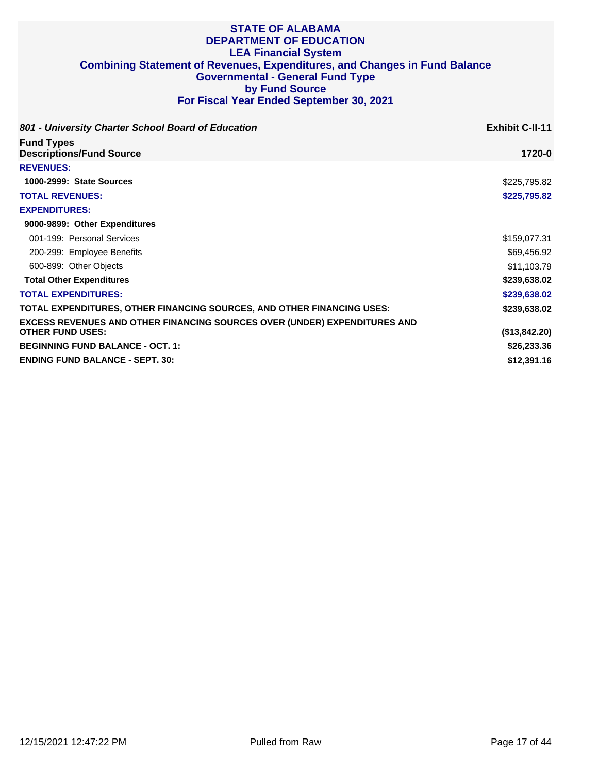| 801 - University Charter School Board of Education                                                   | <b>Exhibit C-II-11</b> |
|------------------------------------------------------------------------------------------------------|------------------------|
| <b>Fund Types</b><br><b>Descriptions/Fund Source</b>                                                 | 1720-0                 |
| <b>REVENUES:</b>                                                                                     |                        |
| 1000-2999: State Sources                                                                             | \$225,795.82           |
| <b>TOTAL REVENUES:</b>                                                                               | \$225,795.82           |
| <b>EXPENDITURES:</b>                                                                                 |                        |
| 9000-9899: Other Expenditures                                                                        |                        |
| 001-199: Personal Services                                                                           | \$159,077.31           |
| 200-299: Employee Benefits                                                                           | \$69,456.92            |
| 600-899: Other Objects                                                                               | \$11,103.79            |
| <b>Total Other Expenditures</b>                                                                      | \$239,638.02           |
| <b>TOTAL EXPENDITURES:</b>                                                                           | \$239,638.02           |
| TOTAL EXPENDITURES, OTHER FINANCING SOURCES, AND OTHER FINANCING USES:                               | \$239,638.02           |
| EXCESS REVENUES AND OTHER FINANCING SOURCES OVER (UNDER) EXPENDITURES AND<br><b>OTHER FUND USES:</b> | (\$13,842.20)          |
| <b>BEGINNING FUND BALANCE - OCT. 1:</b>                                                              | \$26,233.36            |
| <b>ENDING FUND BALANCE - SEPT. 30:</b>                                                               | \$12,391.16            |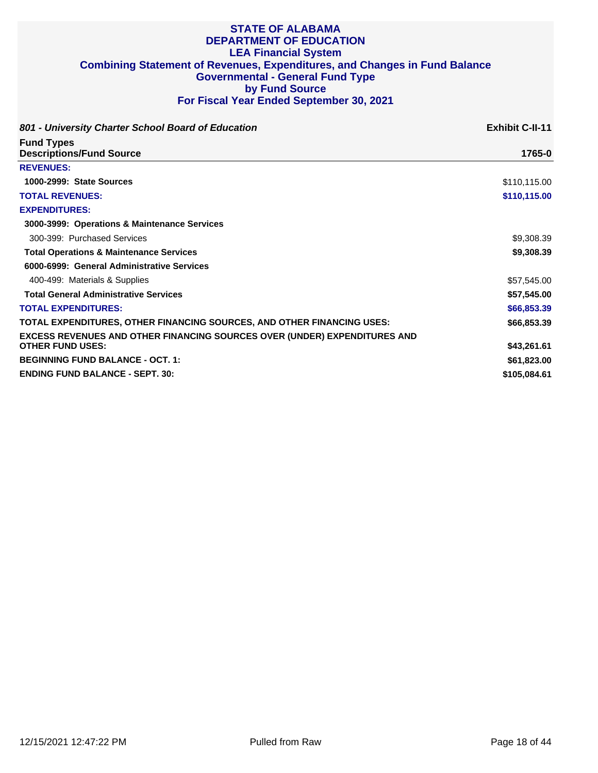| 801 - University Charter School Board of Education                               | <b>Exhibit C-II-11</b> |
|----------------------------------------------------------------------------------|------------------------|
| <b>Fund Types</b><br><b>Descriptions/Fund Source</b>                             | 1765-0                 |
| <b>REVENUES:</b>                                                                 |                        |
| 1000-2999: State Sources                                                         | \$110,115.00           |
| <b>TOTAL REVENUES:</b>                                                           | \$110,115.00           |
| <b>EXPENDITURES:</b>                                                             |                        |
| 3000-3999: Operations & Maintenance Services                                     |                        |
| 300-399: Purchased Services                                                      | \$9,308.39             |
| <b>Total Operations &amp; Maintenance Services</b>                               | \$9,308.39             |
| 6000-6999: General Administrative Services                                       |                        |
| 400-499: Materials & Supplies                                                    | \$57,545.00            |
| <b>Total General Administrative Services</b>                                     | \$57,545.00            |
| <b>TOTAL EXPENDITURES:</b>                                                       | \$66,853.39            |
| TOTAL EXPENDITURES, OTHER FINANCING SOURCES, AND OTHER FINANCING USES:           | \$66,853.39            |
| <b>EXCESS REVENUES AND OTHER FINANCING SOURCES OVER (UNDER) EXPENDITURES AND</b> |                        |
| <b>OTHER FUND USES:</b>                                                          | \$43,261.61            |
| <b>BEGINNING FUND BALANCE - OCT. 1:</b>                                          | \$61,823.00            |
| <b>ENDING FUND BALANCE - SEPT. 30:</b>                                           | \$105,084.61           |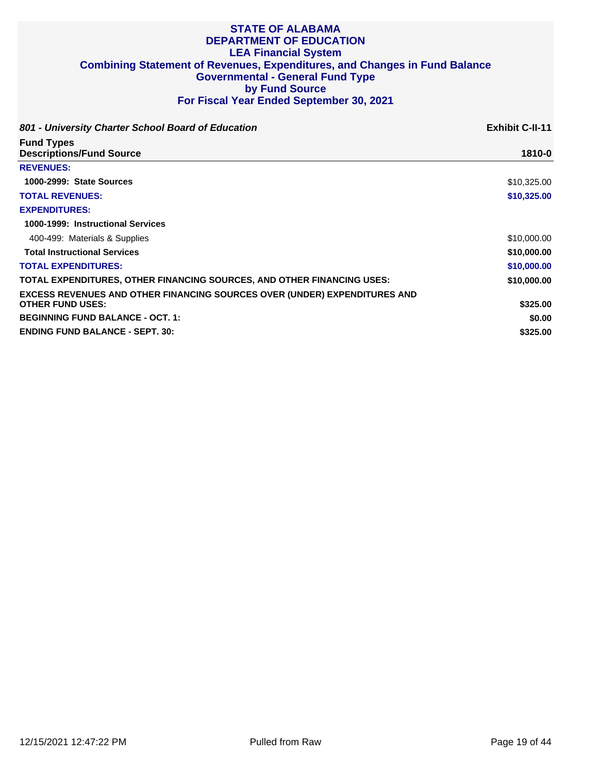| 801 - University Charter School Board of Education                                                          | <b>Exhibit C-II-11</b> |
|-------------------------------------------------------------------------------------------------------------|------------------------|
| <b>Fund Types</b><br><b>Descriptions/Fund Source</b>                                                        | 1810-0                 |
| <b>REVENUES:</b>                                                                                            |                        |
| 1000-2999: State Sources                                                                                    | \$10,325.00            |
| <b>TOTAL REVENUES:</b>                                                                                      | \$10,325.00            |
| <b>EXPENDITURES:</b>                                                                                        |                        |
| 1000-1999: Instructional Services                                                                           |                        |
| 400-499: Materials & Supplies                                                                               | \$10,000.00            |
| <b>Total Instructional Services</b>                                                                         | \$10,000.00            |
| <b>TOTAL EXPENDITURES:</b>                                                                                  | \$10,000.00            |
| TOTAL EXPENDITURES, OTHER FINANCING SOURCES, AND OTHER FINANCING USES:                                      | \$10,000.00            |
| <b>EXCESS REVENUES AND OTHER FINANCING SOURCES OVER (UNDER) EXPENDITURES AND</b><br><b>OTHER FUND USES:</b> | \$325.00               |
| <b>BEGINNING FUND BALANCE - OCT. 1:</b>                                                                     | \$0.00                 |
| <b>ENDING FUND BALANCE - SEPT. 30:</b>                                                                      | \$325.00               |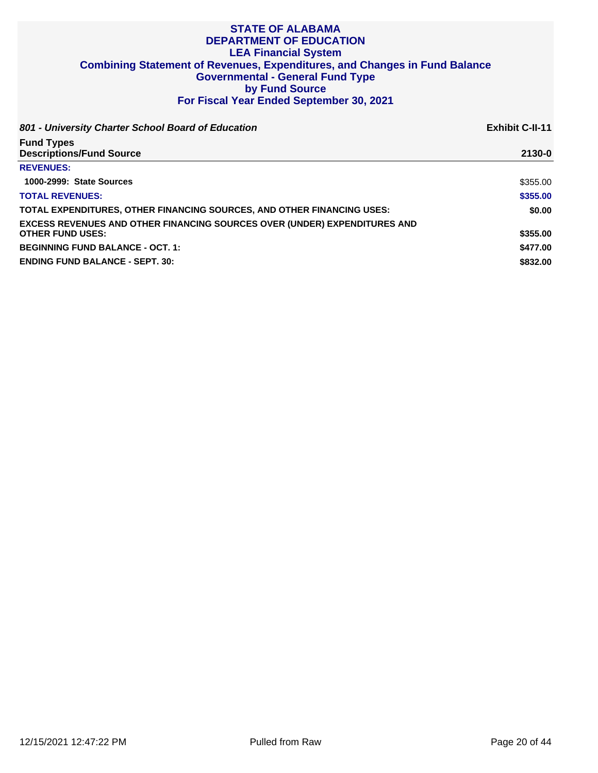| 801 - University Charter School Board of Education                               | <b>Exhibit C-II-11</b> |
|----------------------------------------------------------------------------------|------------------------|
| <b>Fund Types</b>                                                                |                        |
| <b>Descriptions/Fund Source</b>                                                  | 2130-0                 |
| <b>REVENUES:</b>                                                                 |                        |
| 1000-2999: State Sources                                                         | \$355.00               |
| <b>TOTAL REVENUES:</b>                                                           | \$355,00               |
| TOTAL EXPENDITURES, OTHER FINANCING SOURCES, AND OTHER FINANCING USES:           | \$0.00                 |
| <b>EXCESS REVENUES AND OTHER FINANCING SOURCES OVER (UNDER) EXPENDITURES AND</b> |                        |
| <b>OTHER FUND USES:</b>                                                          | \$355.00               |
| <b>BEGINNING FUND BALANCE - OCT. 1:</b>                                          | \$477.00               |
| <b>ENDING FUND BALANCE - SEPT. 30:</b>                                           | \$832.00               |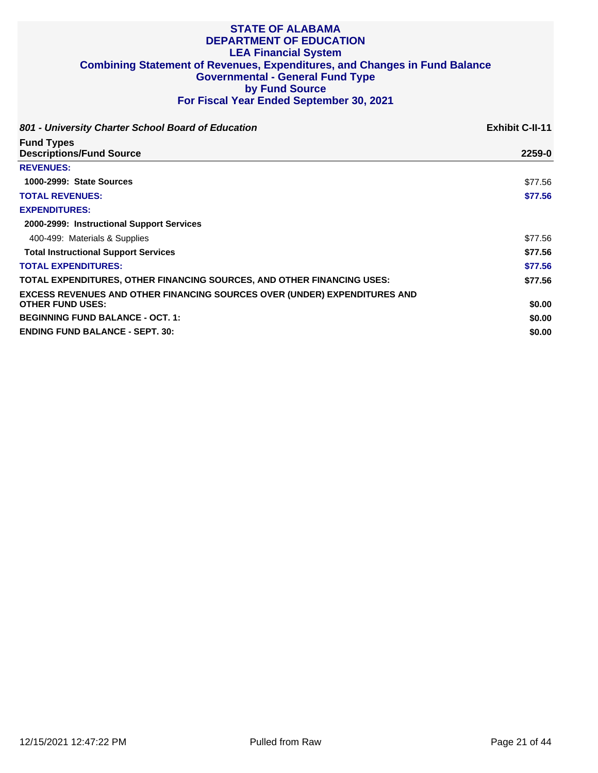| 801 - University Charter School Board of Education                               | <b>Exhibit C-II-11</b> |
|----------------------------------------------------------------------------------|------------------------|
| <b>Fund Types</b><br><b>Descriptions/Fund Source</b>                             | 2259-0                 |
| <b>REVENUES:</b>                                                                 |                        |
| 1000-2999: State Sources                                                         | \$77.56                |
| <b>TOTAL REVENUES:</b>                                                           | \$77.56                |
| <b>EXPENDITURES:</b>                                                             |                        |
| 2000-2999: Instructional Support Services                                        |                        |
| 400-499: Materials & Supplies                                                    | \$77.56                |
| <b>Total Instructional Support Services</b>                                      | \$77.56                |
| <b>TOTAL EXPENDITURES:</b>                                                       | \$77.56                |
| TOTAL EXPENDITURES, OTHER FINANCING SOURCES, AND OTHER FINANCING USES:           | \$77.56                |
| <b>EXCESS REVENUES AND OTHER FINANCING SOURCES OVER (UNDER) EXPENDITURES AND</b> |                        |
| <b>OTHER FUND USES:</b>                                                          | \$0.00                 |
| <b>BEGINNING FUND BALANCE - OCT. 1:</b>                                          | \$0.00                 |
| <b>ENDING FUND BALANCE - SEPT. 30:</b>                                           | \$0.00                 |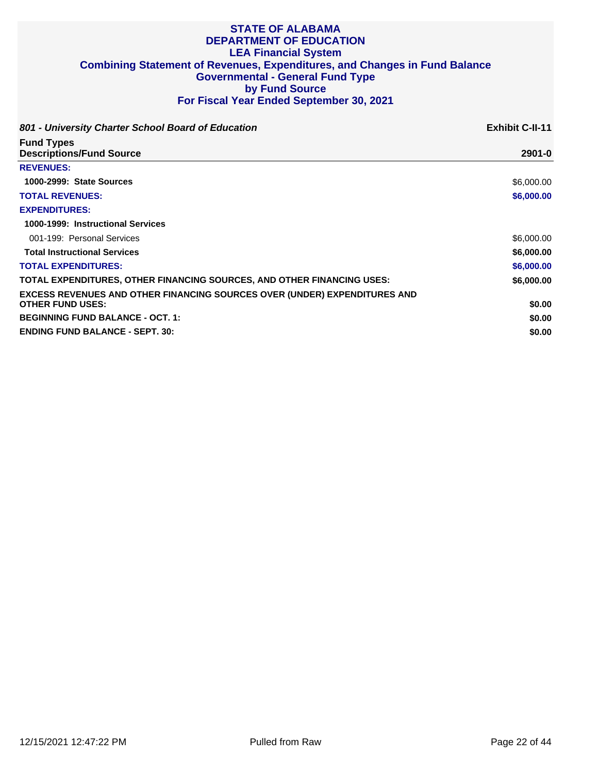| 801 - University Charter School Board of Education                                                          | <b>Exhibit C-II-11</b> |
|-------------------------------------------------------------------------------------------------------------|------------------------|
| <b>Fund Types</b><br><b>Descriptions/Fund Source</b>                                                        | $2901 - 0$             |
| <b>REVENUES:</b>                                                                                            |                        |
| 1000-2999: State Sources                                                                                    | \$6,000.00             |
| <b>TOTAL REVENUES:</b>                                                                                      | \$6,000.00             |
| <b>EXPENDITURES:</b>                                                                                        |                        |
| 1000-1999: Instructional Services                                                                           |                        |
| 001-199: Personal Services                                                                                  | \$6,000.00             |
| <b>Total Instructional Services</b>                                                                         | \$6,000.00             |
| <b>TOTAL EXPENDITURES:</b>                                                                                  | \$6,000.00             |
| TOTAL EXPENDITURES, OTHER FINANCING SOURCES, AND OTHER FINANCING USES:                                      | \$6,000.00             |
| <b>EXCESS REVENUES AND OTHER FINANCING SOURCES OVER (UNDER) EXPENDITURES AND</b><br><b>OTHER FUND USES:</b> | \$0.00                 |
| <b>BEGINNING FUND BALANCE - OCT. 1:</b>                                                                     | \$0.00                 |
| <b>ENDING FUND BALANCE - SEPT. 30:</b>                                                                      | \$0.00                 |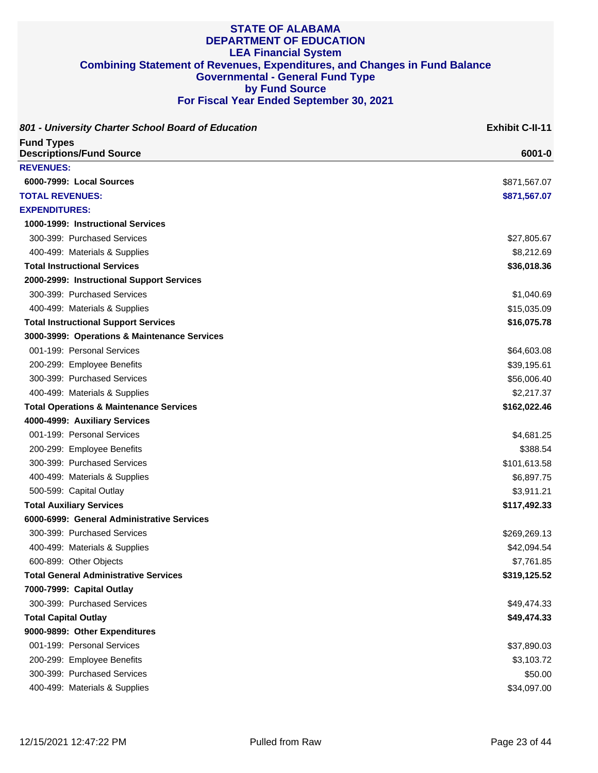| 801 - University Charter School Board of Education   | <b>Exhibit C-II-11</b> |
|------------------------------------------------------|------------------------|
| <b>Fund Types</b><br><b>Descriptions/Fund Source</b> | 6001-0                 |
| <b>REVENUES:</b>                                     |                        |
| 6000-7999: Local Sources                             | \$871,567.07           |
| <b>TOTAL REVENUES:</b>                               | \$871,567.07           |
| <b>EXPENDITURES:</b>                                 |                        |
| 1000-1999: Instructional Services                    |                        |
| 300-399: Purchased Services                          | \$27,805.67            |
| 400-499: Materials & Supplies                        | \$8,212.69             |
| <b>Total Instructional Services</b>                  | \$36,018.36            |
| 2000-2999: Instructional Support Services            |                        |
| 300-399: Purchased Services                          | \$1,040.69             |
| 400-499: Materials & Supplies                        | \$15,035.09            |
| <b>Total Instructional Support Services</b>          | \$16,075.78            |
| 3000-3999: Operations & Maintenance Services         |                        |
| 001-199: Personal Services                           | \$64,603.08            |
| 200-299: Employee Benefits                           | \$39,195.61            |
| 300-399: Purchased Services                          | \$56,006.40            |
| 400-499: Materials & Supplies                        | \$2,217.37             |
| <b>Total Operations &amp; Maintenance Services</b>   | \$162,022.46           |
| 4000-4999: Auxiliary Services                        |                        |
| 001-199: Personal Services                           | \$4,681.25             |
| 200-299: Employee Benefits                           | \$388.54               |
| 300-399: Purchased Services                          | \$101,613.58           |
| 400-499: Materials & Supplies                        | \$6,897.75             |
| 500-599: Capital Outlay                              | \$3,911.21             |
| <b>Total Auxiliary Services</b>                      | \$117,492.33           |
| 6000-6999: General Administrative Services           |                        |
| 300-399: Purchased Services                          | \$269,269.13           |
| 400-499: Materials & Supplies                        | \$42,094.54            |
| 600-899: Other Objects                               | \$7,761.85             |
| <b>Total General Administrative Services</b>         | \$319,125.52           |
| 7000-7999: Capital Outlay                            |                        |
| 300-399: Purchased Services                          | \$49,474.33            |
| <b>Total Capital Outlay</b>                          | \$49,474.33            |
| 9000-9899: Other Expenditures                        |                        |
| 001-199: Personal Services                           | \$37,890.03            |
| 200-299: Employee Benefits                           | \$3,103.72             |
| 300-399: Purchased Services                          | \$50.00                |
| 400-499: Materials & Supplies                        | \$34,097.00            |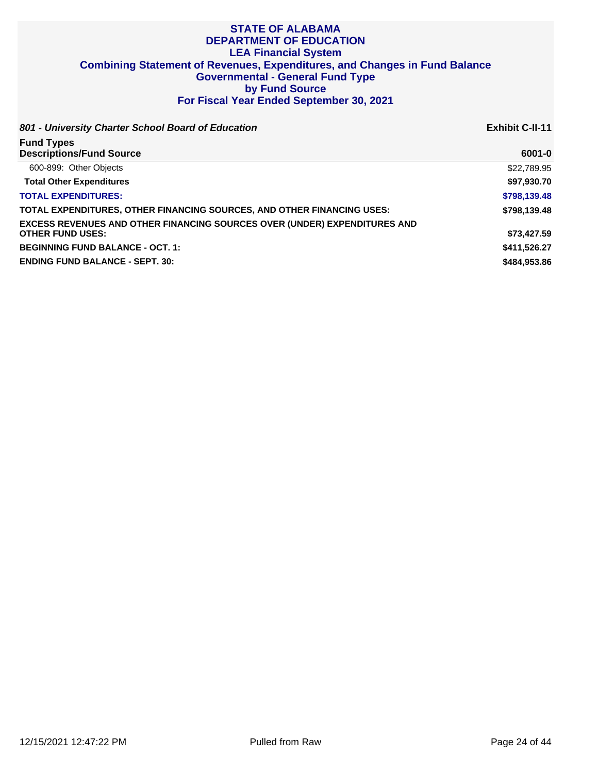**801 - University Charter School Board of Education Exhibit C-II-11**

| <b>Fund Types</b>                                                                |              |
|----------------------------------------------------------------------------------|--------------|
| <b>Descriptions/Fund Source</b>                                                  | 6001-0       |
| 600-899: Other Objects                                                           | \$22,789.95  |
| <b>Total Other Expenditures</b>                                                  | \$97,930.70  |
| <b>TOTAL EXPENDITURES:</b>                                                       | \$798,139.48 |
| TOTAL EXPENDITURES, OTHER FINANCING SOURCES, AND OTHER FINANCING USES:           | \$798,139.48 |
| <b>EXCESS REVENUES AND OTHER FINANCING SOURCES OVER (UNDER) EXPENDITURES AND</b> |              |
| <b>OTHER FUND USES:</b>                                                          | \$73,427.59  |
| <b>BEGINNING FUND BALANCE - OCT. 1:</b>                                          | \$411,526.27 |
| <b>ENDING FUND BALANCE - SEPT. 30:</b>                                           | \$484.953.86 |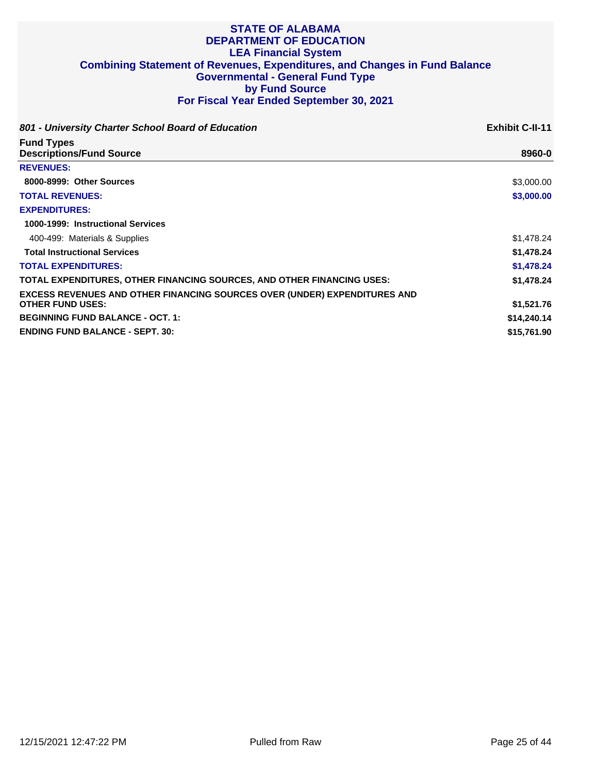| 801 - University Charter School Board of Education                                                          | <b>Exhibit C-II-11</b> |
|-------------------------------------------------------------------------------------------------------------|------------------------|
| <b>Fund Types</b><br><b>Descriptions/Fund Source</b>                                                        | 8960-0                 |
| <b>REVENUES:</b>                                                                                            |                        |
| 8000-8999: Other Sources                                                                                    | \$3,000.00             |
| <b>TOTAL REVENUES:</b>                                                                                      | \$3,000.00             |
| <b>EXPENDITURES:</b>                                                                                        |                        |
| 1000-1999: Instructional Services                                                                           |                        |
| 400-499: Materials & Supplies                                                                               | \$1,478.24             |
| <b>Total Instructional Services</b>                                                                         | \$1,478.24             |
| <b>TOTAL EXPENDITURES:</b>                                                                                  | \$1,478.24             |
| TOTAL EXPENDITURES, OTHER FINANCING SOURCES, AND OTHER FINANCING USES:                                      | \$1,478,24             |
| <b>EXCESS REVENUES AND OTHER FINANCING SOURCES OVER (UNDER) EXPENDITURES AND</b><br><b>OTHER FUND USES:</b> | \$1,521.76             |
| <b>BEGINNING FUND BALANCE - OCT. 1:</b>                                                                     | \$14,240.14            |
| <b>ENDING FUND BALANCE - SEPT. 30:</b>                                                                      | \$15,761.90            |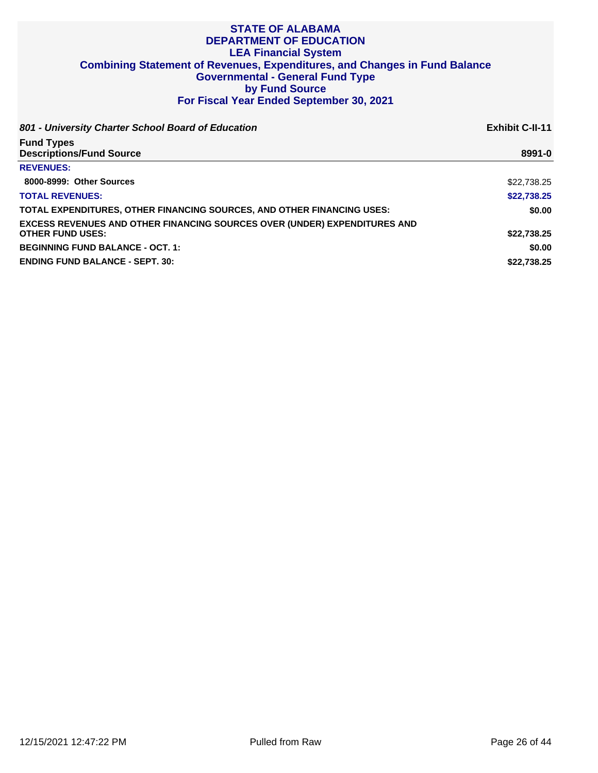| 801 - University Charter School Board of Education                               | <b>Exhibit C-II-11</b> |
|----------------------------------------------------------------------------------|------------------------|
| <b>Fund Types</b>                                                                |                        |
| <b>Descriptions/Fund Source</b>                                                  | 8991-0                 |
| <b>REVENUES:</b>                                                                 |                        |
| 8000-8999: Other Sources                                                         | \$22,738.25            |
| <b>TOTAL REVENUES:</b>                                                           | \$22,738.25            |
| TOTAL EXPENDITURES, OTHER FINANCING SOURCES, AND OTHER FINANCING USES:           | \$0.00                 |
| <b>EXCESS REVENUES AND OTHER FINANCING SOURCES OVER (UNDER) EXPENDITURES AND</b> |                        |
| <b>OTHER FUND USES:</b>                                                          | \$22,738.25            |
| <b>BEGINNING FUND BALANCE - OCT. 1:</b>                                          | \$0.00                 |
| <b>ENDING FUND BALANCE - SEPT. 30:</b>                                           | \$22,738,25            |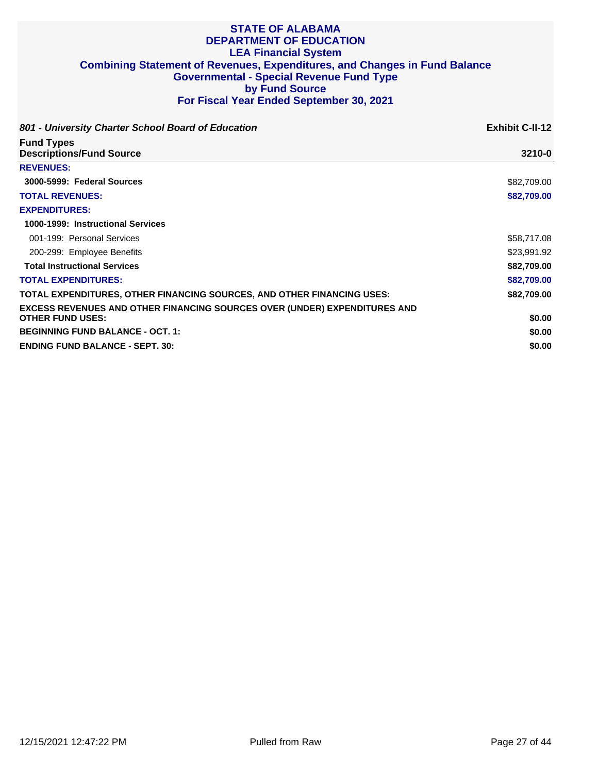| 801 - University Charter School Board of Education                                                          | <b>Exhibit C-II-12</b> |
|-------------------------------------------------------------------------------------------------------------|------------------------|
| <b>Fund Types</b><br><b>Descriptions/Fund Source</b>                                                        | $3210 - 0$             |
| <b>REVENUES:</b>                                                                                            |                        |
| 3000-5999: Federal Sources                                                                                  | \$82,709.00            |
| <b>TOTAL REVENUES:</b>                                                                                      | \$82,709.00            |
| <b>EXPENDITURES:</b>                                                                                        |                        |
| 1000-1999: Instructional Services                                                                           |                        |
| 001-199: Personal Services                                                                                  | \$58,717.08            |
| 200-299: Employee Benefits                                                                                  | \$23,991.92            |
| <b>Total Instructional Services</b>                                                                         | \$82,709.00            |
| <b>TOTAL EXPENDITURES:</b>                                                                                  | \$82,709.00            |
| TOTAL EXPENDITURES, OTHER FINANCING SOURCES, AND OTHER FINANCING USES:                                      | \$82,709.00            |
| <b>EXCESS REVENUES AND OTHER FINANCING SOURCES OVER (UNDER) EXPENDITURES AND</b><br><b>OTHER FUND USES:</b> | \$0.00                 |
| <b>BEGINNING FUND BALANCE - OCT. 1:</b>                                                                     | \$0.00                 |
| <b>ENDING FUND BALANCE - SEPT. 30:</b>                                                                      | \$0.00                 |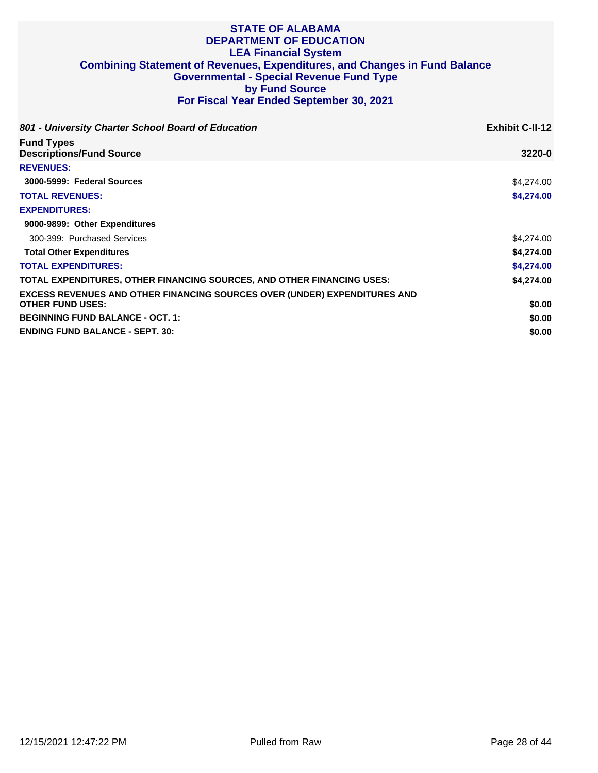| 801 - University Charter School Board of Education                                                          | <b>Exhibit C-II-12</b> |
|-------------------------------------------------------------------------------------------------------------|------------------------|
| <b>Fund Types</b><br><b>Descriptions/Fund Source</b>                                                        | 3220-0                 |
| <b>REVENUES:</b>                                                                                            |                        |
| 3000-5999: Federal Sources                                                                                  | \$4,274.00             |
| <b>TOTAL REVENUES:</b>                                                                                      | \$4,274.00             |
| <b>EXPENDITURES:</b>                                                                                        |                        |
| 9000-9899: Other Expenditures                                                                               |                        |
| 300-399: Purchased Services                                                                                 | \$4,274.00             |
| <b>Total Other Expenditures</b>                                                                             | \$4,274.00             |
| <b>TOTAL EXPENDITURES:</b>                                                                                  | \$4,274.00             |
| TOTAL EXPENDITURES, OTHER FINANCING SOURCES, AND OTHER FINANCING USES:                                      | \$4,274,00             |
| <b>EXCESS REVENUES AND OTHER FINANCING SOURCES OVER (UNDER) EXPENDITURES AND</b><br><b>OTHER FUND USES:</b> | \$0.00                 |
| <b>BEGINNING FUND BALANCE - OCT. 1:</b>                                                                     | \$0.00                 |
| <b>ENDING FUND BALANCE - SEPT. 30:</b>                                                                      | \$0.00                 |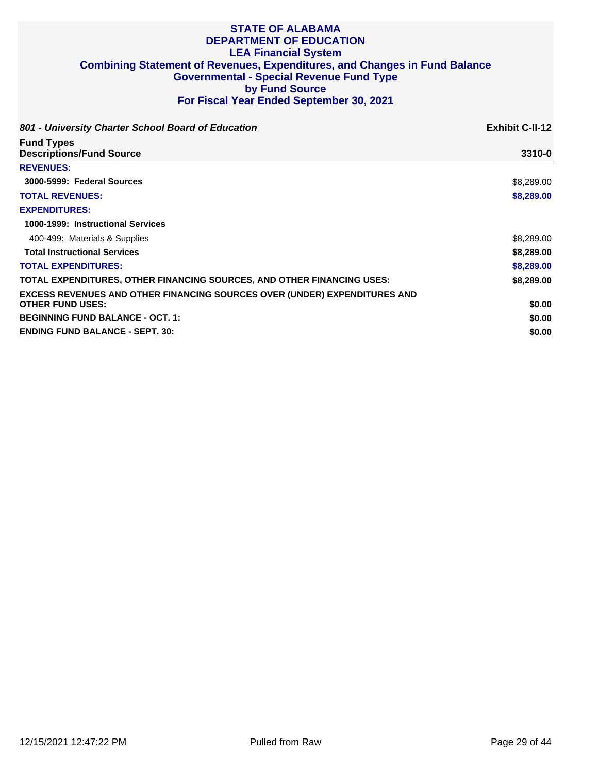| 801 - University Charter School Board of Education                                                          | <b>Exhibit C-II-12</b> |
|-------------------------------------------------------------------------------------------------------------|------------------------|
| <b>Fund Types</b><br><b>Descriptions/Fund Source</b>                                                        | 3310-0                 |
| <b>REVENUES:</b>                                                                                            |                        |
| 3000-5999: Federal Sources                                                                                  | \$8,289.00             |
| <b>TOTAL REVENUES:</b>                                                                                      | \$8,289.00             |
| <b>EXPENDITURES:</b>                                                                                        |                        |
| 1000-1999: Instructional Services                                                                           |                        |
| 400-499: Materials & Supplies                                                                               | \$8,289.00             |
| <b>Total Instructional Services</b>                                                                         | \$8,289.00             |
| <b>TOTAL EXPENDITURES:</b>                                                                                  | \$8,289.00             |
| TOTAL EXPENDITURES, OTHER FINANCING SOURCES, AND OTHER FINANCING USES:                                      | \$8,289.00             |
| <b>EXCESS REVENUES AND OTHER FINANCING SOURCES OVER (UNDER) EXPENDITURES AND</b><br><b>OTHER FUND USES:</b> | \$0.00                 |
| <b>BEGINNING FUND BALANCE - OCT. 1:</b>                                                                     | \$0.00                 |
| <b>ENDING FUND BALANCE - SEPT. 30:</b>                                                                      | \$0.00                 |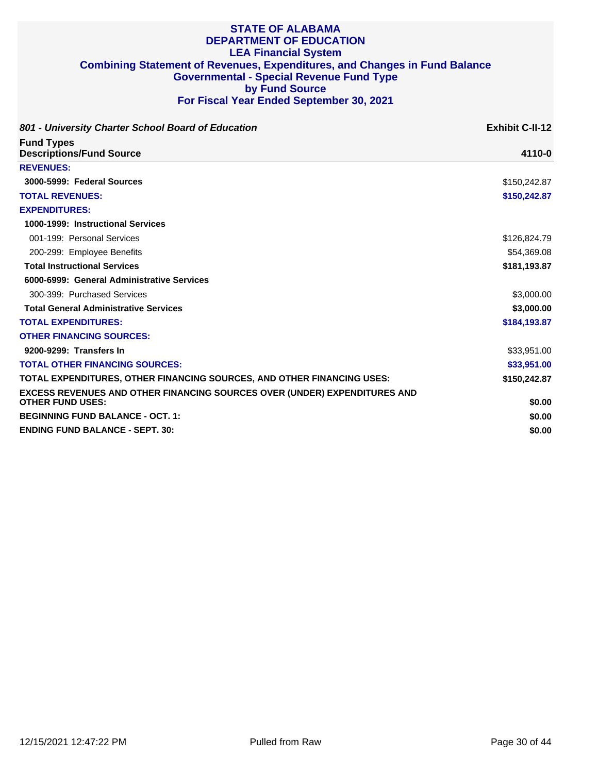| 801 - University Charter School Board of Education                               | <b>Exhibit C-II-12</b> |
|----------------------------------------------------------------------------------|------------------------|
| <b>Fund Types</b>                                                                |                        |
| <b>Descriptions/Fund Source</b>                                                  | 4110-0                 |
| <b>REVENUES:</b>                                                                 |                        |
| 3000-5999: Federal Sources                                                       | \$150,242.87           |
| <b>TOTAL REVENUES:</b>                                                           | \$150,242.87           |
| <b>EXPENDITURES:</b>                                                             |                        |
| 1000-1999: Instructional Services                                                |                        |
| 001-199: Personal Services                                                       | \$126,824.79           |
| 200-299: Employee Benefits                                                       | \$54,369.08            |
| <b>Total Instructional Services</b>                                              | \$181,193.87           |
| 6000-6999: General Administrative Services                                       |                        |
| 300-399: Purchased Services                                                      | \$3,000.00             |
| <b>Total General Administrative Services</b>                                     | \$3,000.00             |
| <b>TOTAL EXPENDITURES:</b>                                                       | \$184,193.87           |
| <b>OTHER FINANCING SOURCES:</b>                                                  |                        |
| 9200-9299: Transfers In                                                          | \$33,951.00            |
| <b>TOTAL OTHER FINANCING SOURCES:</b>                                            | \$33,951.00            |
| TOTAL EXPENDITURES, OTHER FINANCING SOURCES, AND OTHER FINANCING USES:           | \$150,242.87           |
| <b>EXCESS REVENUES AND OTHER FINANCING SOURCES OVER (UNDER) EXPENDITURES AND</b> |                        |
| <b>OTHER FUND USES:</b>                                                          | \$0.00                 |
| <b>BEGINNING FUND BALANCE - OCT. 1:</b>                                          | \$0.00                 |
| <b>ENDING FUND BALANCE - SEPT. 30:</b>                                           | \$0.00                 |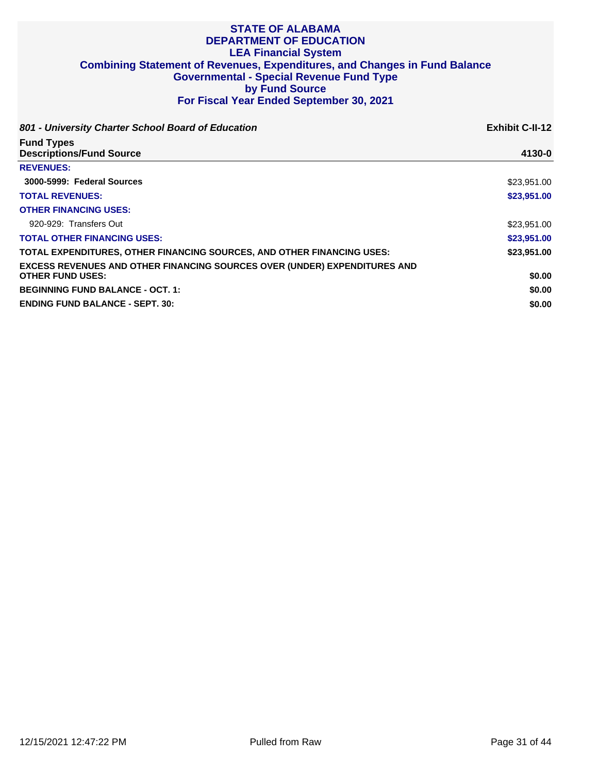| 801 - University Charter School Board of Education                               | <b>Exhibit C-II-12</b> |
|----------------------------------------------------------------------------------|------------------------|
| <b>Fund Types</b><br><b>Descriptions/Fund Source</b>                             | 4130-0                 |
| <b>REVENUES:</b>                                                                 |                        |
| 3000-5999: Federal Sources                                                       | \$23,951.00            |
| <b>TOTAL REVENUES:</b>                                                           | \$23,951.00            |
| <b>OTHER FINANCING USES:</b>                                                     |                        |
| 920-929: Transfers Out                                                           | \$23,951,00            |
| <b>TOTAL OTHER FINANCING USES:</b>                                               | \$23,951,00            |
| TOTAL EXPENDITURES, OTHER FINANCING SOURCES, AND OTHER FINANCING USES:           | \$23,951.00            |
| <b>EXCESS REVENUES AND OTHER FINANCING SOURCES OVER (UNDER) EXPENDITURES AND</b> |                        |
| <b>OTHER FUND USES:</b>                                                          | \$0.00                 |
| <b>BEGINNING FUND BALANCE - OCT. 1:</b>                                          | \$0.00                 |
| <b>ENDING FUND BALANCE - SEPT. 30:</b>                                           | \$0.00                 |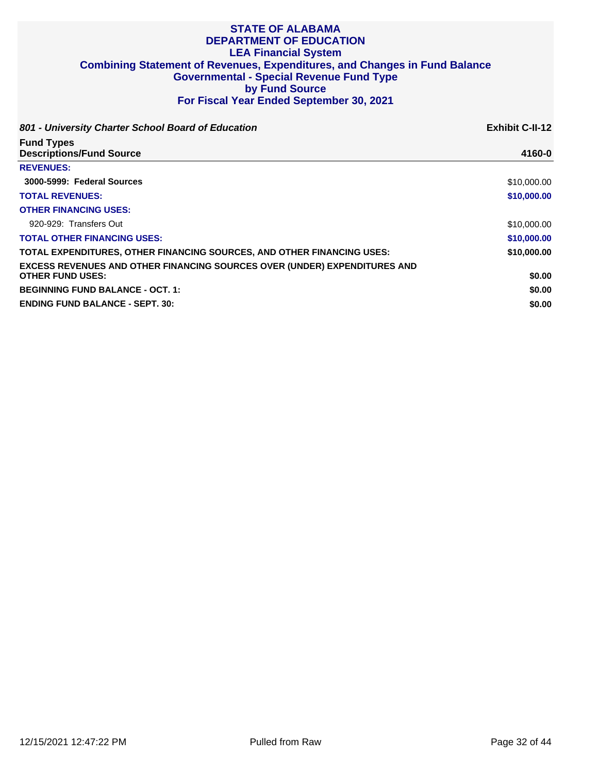| 801 - University Charter School Board of Education                                                          | <b>Exhibit C-II-12</b> |
|-------------------------------------------------------------------------------------------------------------|------------------------|
| <b>Fund Types</b><br><b>Descriptions/Fund Source</b>                                                        | 4160-0                 |
| <b>REVENUES:</b>                                                                                            |                        |
| 3000-5999: Federal Sources                                                                                  | \$10,000.00            |
| <b>TOTAL REVENUES:</b>                                                                                      | \$10,000.00            |
| <b>OTHER FINANCING USES:</b>                                                                                |                        |
| 920-929: Transfers Out                                                                                      | \$10,000.00            |
| <b>TOTAL OTHER FINANCING USES:</b>                                                                          | \$10,000.00            |
| <b>TOTAL EXPENDITURES, OTHER FINANCING SOURCES, AND OTHER FINANCING USES:</b>                               | \$10,000.00            |
| <b>EXCESS REVENUES AND OTHER FINANCING SOURCES OVER (UNDER) EXPENDITURES AND</b><br><b>OTHER FUND USES:</b> | \$0.00                 |
| <b>BEGINNING FUND BALANCE - OCT. 1:</b>                                                                     | \$0.00                 |
| <b>ENDING FUND BALANCE - SEPT. 30:</b>                                                                      | \$0.00                 |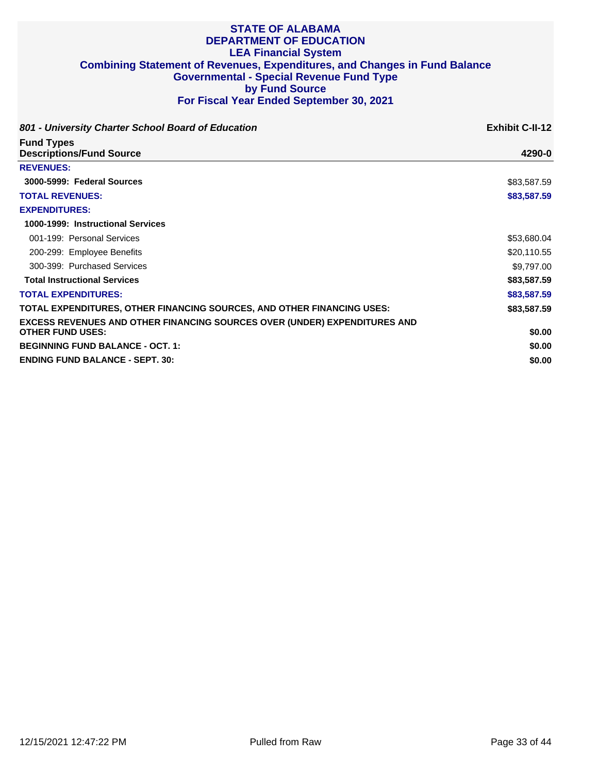| 801 - University Charter School Board of Education                               | <b>Exhibit C-II-12</b> |
|----------------------------------------------------------------------------------|------------------------|
| <b>Fund Types</b><br><b>Descriptions/Fund Source</b>                             | 4290-0                 |
| <b>REVENUES:</b>                                                                 |                        |
| 3000-5999: Federal Sources                                                       | \$83,587.59            |
| <b>TOTAL REVENUES:</b>                                                           | \$83,587.59            |
| <b>EXPENDITURES:</b>                                                             |                        |
| 1000-1999: Instructional Services                                                |                        |
| 001-199: Personal Services                                                       | \$53,680.04            |
| 200-299: Employee Benefits                                                       | \$20,110.55            |
| 300-399: Purchased Services                                                      | \$9,797.00             |
| <b>Total Instructional Services</b>                                              | \$83,587.59            |
| <b>TOTAL EXPENDITURES:</b>                                                       | \$83,587.59            |
| TOTAL EXPENDITURES, OTHER FINANCING SOURCES, AND OTHER FINANCING USES:           | \$83,587.59            |
| <b>EXCESS REVENUES AND OTHER FINANCING SOURCES OVER (UNDER) EXPENDITURES AND</b> |                        |
| <b>OTHER FUND USES:</b>                                                          | \$0.00                 |
| <b>BEGINNING FUND BALANCE - OCT. 1:</b>                                          | \$0.00                 |
| <b>ENDING FUND BALANCE - SEPT. 30:</b>                                           | \$0.00                 |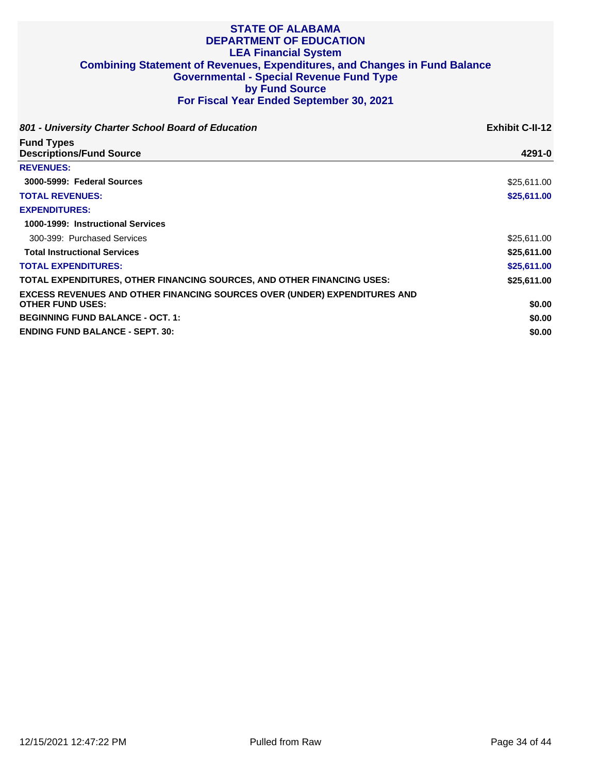| 801 - University Charter School Board of Education                                                          | <b>Exhibit C-II-12</b> |
|-------------------------------------------------------------------------------------------------------------|------------------------|
| <b>Fund Types</b><br><b>Descriptions/Fund Source</b>                                                        | 4291-0                 |
| <b>REVENUES:</b>                                                                                            |                        |
| 3000-5999: Federal Sources                                                                                  | \$25,611.00            |
| <b>TOTAL REVENUES:</b>                                                                                      | \$25,611.00            |
| <b>EXPENDITURES:</b>                                                                                        |                        |
| 1000-1999: Instructional Services                                                                           |                        |
| 300-399: Purchased Services                                                                                 | \$25,611.00            |
| <b>Total Instructional Services</b>                                                                         | \$25,611.00            |
| <b>TOTAL EXPENDITURES:</b>                                                                                  | \$25,611.00            |
| TOTAL EXPENDITURES, OTHER FINANCING SOURCES, AND OTHER FINANCING USES:                                      | \$25,611.00            |
| <b>EXCESS REVENUES AND OTHER FINANCING SOURCES OVER (UNDER) EXPENDITURES AND</b><br><b>OTHER FUND USES:</b> | \$0.00                 |
| <b>BEGINNING FUND BALANCE - OCT. 1:</b>                                                                     | \$0.00                 |
| <b>ENDING FUND BALANCE - SEPT. 30:</b>                                                                      | \$0.00                 |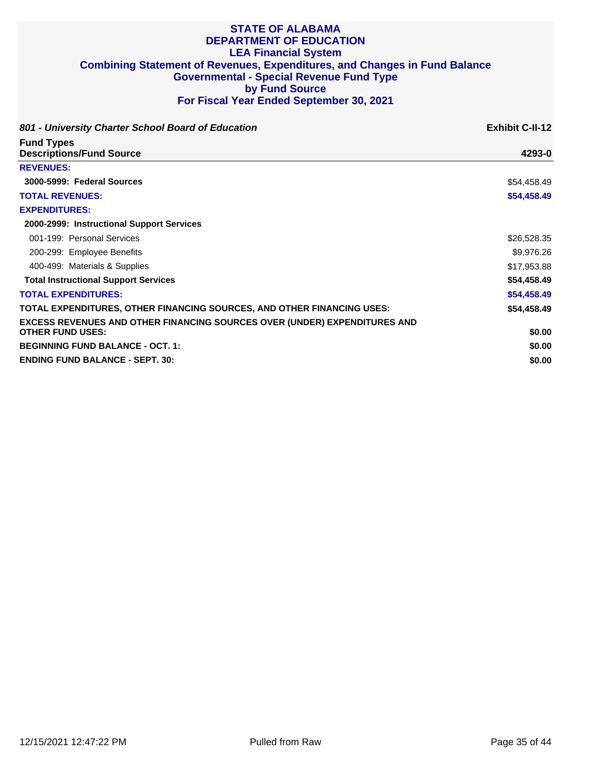| 801 - University Charter School Board of Education                                                          | <b>Exhibit C-II-12</b> |
|-------------------------------------------------------------------------------------------------------------|------------------------|
| <b>Fund Types</b><br><b>Descriptions/Fund Source</b>                                                        | 4293-0                 |
| <b>REVENUES:</b>                                                                                            |                        |
| 3000-5999: Federal Sources                                                                                  | \$54,458.49            |
| <b>TOTAL REVENUES:</b>                                                                                      | \$54,458.49            |
| <b>EXPENDITURES:</b>                                                                                        |                        |
| 2000-2999: Instructional Support Services                                                                   |                        |
| 001-199: Personal Services                                                                                  | \$26,528.35            |
| 200-299: Employee Benefits                                                                                  | \$9,976.26             |
| 400-499: Materials & Supplies                                                                               | \$17,953.88            |
| <b>Total Instructional Support Services</b>                                                                 | \$54,458.49            |
| <b>TOTAL EXPENDITURES:</b>                                                                                  | \$54,458.49            |
| TOTAL EXPENDITURES, OTHER FINANCING SOURCES, AND OTHER FINANCING USES:                                      | \$54,458.49            |
| <b>EXCESS REVENUES AND OTHER FINANCING SOURCES OVER (UNDER) EXPENDITURES AND</b><br><b>OTHER FUND USES:</b> | \$0.00                 |
| <b>BEGINNING FUND BALANCE - OCT. 1:</b>                                                                     | \$0.00                 |
| <b>ENDING FUND BALANCE - SEPT. 30:</b>                                                                      | \$0.00                 |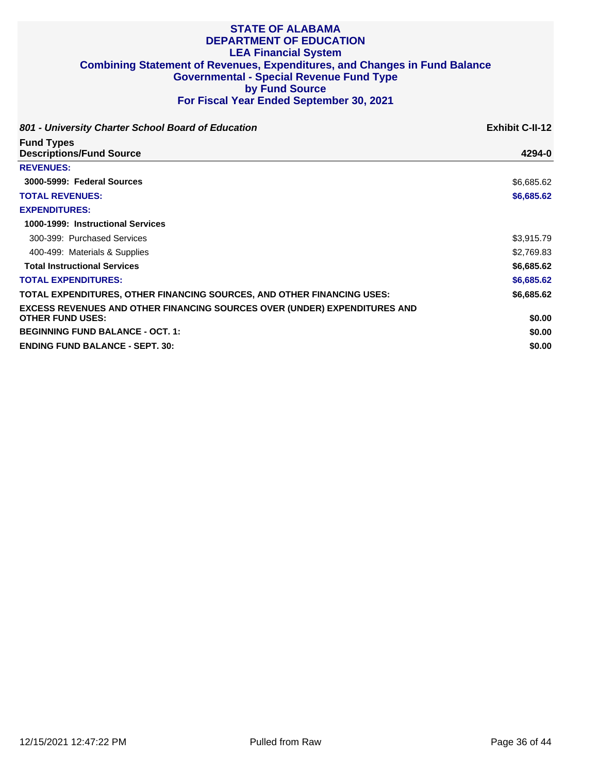| 801 - University Charter School Board of Education                               | <b>Exhibit C-II-12</b> |
|----------------------------------------------------------------------------------|------------------------|
| <b>Fund Types</b><br><b>Descriptions/Fund Source</b>                             | 4294-0                 |
| <b>REVENUES:</b>                                                                 |                        |
| 3000-5999: Federal Sources                                                       | \$6,685.62             |
| <b>TOTAL REVENUES:</b>                                                           | \$6,685.62             |
| <b>EXPENDITURES:</b>                                                             |                        |
| 1000-1999: Instructional Services                                                |                        |
| 300-399: Purchased Services                                                      | \$3,915.79             |
| 400-499: Materials & Supplies                                                    | \$2,769.83             |
| <b>Total Instructional Services</b>                                              | \$6,685.62             |
| <b>TOTAL EXPENDITURES:</b>                                                       | \$6,685.62             |
| TOTAL EXPENDITURES, OTHER FINANCING SOURCES, AND OTHER FINANCING USES:           | \$6,685.62             |
| <b>EXCESS REVENUES AND OTHER FINANCING SOURCES OVER (UNDER) EXPENDITURES AND</b> |                        |
| <b>OTHER FUND USES:</b>                                                          | \$0.00                 |
| <b>BEGINNING FUND BALANCE - OCT. 1:</b>                                          | \$0.00                 |
| <b>ENDING FUND BALANCE - SEPT. 30:</b>                                           | \$0.00                 |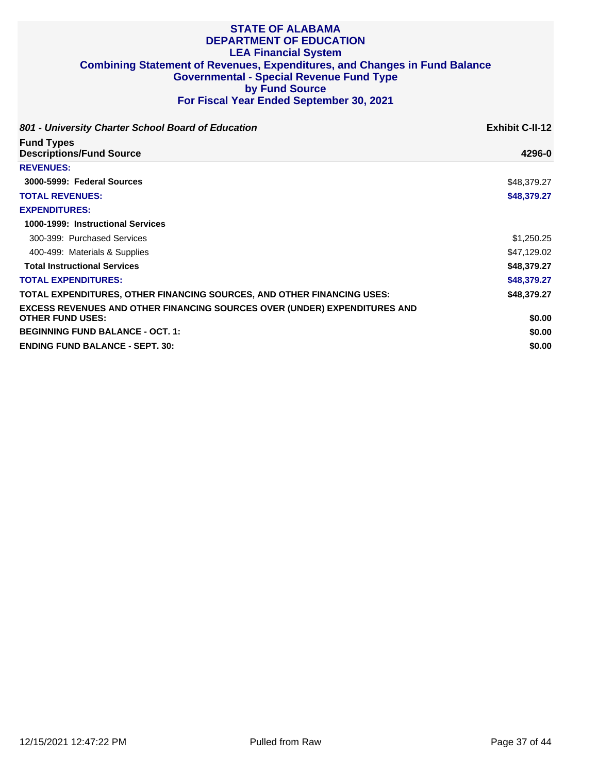| 801 - University Charter School Board of Education                               | <b>Exhibit C-II-12</b> |
|----------------------------------------------------------------------------------|------------------------|
| <b>Fund Types</b><br><b>Descriptions/Fund Source</b>                             | 4296-0                 |
| <b>REVENUES:</b>                                                                 |                        |
| 3000-5999: Federal Sources                                                       | \$48,379.27            |
| <b>TOTAL REVENUES:</b>                                                           | \$48,379.27            |
| <b>EXPENDITURES:</b>                                                             |                        |
| 1000-1999: Instructional Services                                                |                        |
| 300-399: Purchased Services                                                      | \$1,250.25             |
| 400-499: Materials & Supplies                                                    | \$47,129.02            |
| <b>Total Instructional Services</b>                                              | \$48,379.27            |
| <b>TOTAL EXPENDITURES:</b>                                                       | \$48,379.27            |
| TOTAL EXPENDITURES, OTHER FINANCING SOURCES, AND OTHER FINANCING USES:           | \$48,379.27            |
| <b>EXCESS REVENUES AND OTHER FINANCING SOURCES OVER (UNDER) EXPENDITURES AND</b> |                        |
| <b>OTHER FUND USES:</b>                                                          | \$0.00                 |
| <b>BEGINNING FUND BALANCE - OCT. 1:</b>                                          | \$0.00                 |
| <b>ENDING FUND BALANCE - SEPT. 30:</b>                                           | \$0.00                 |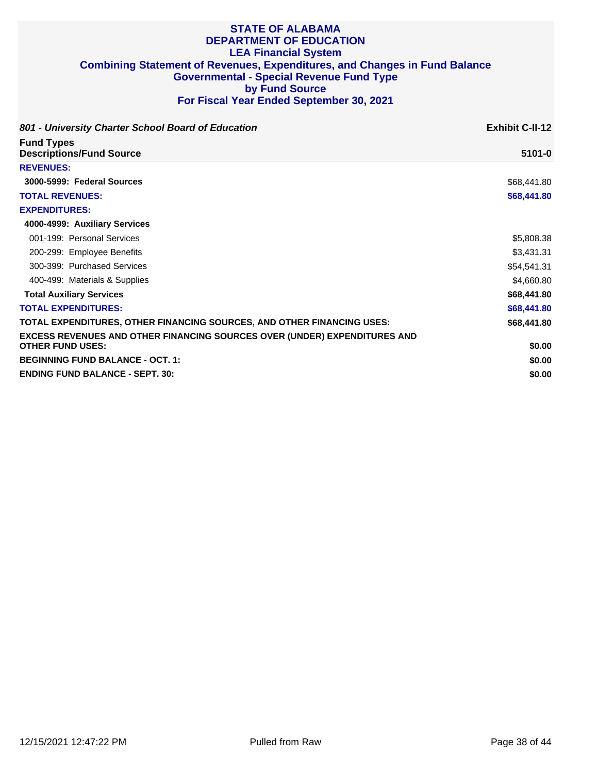| 801 - University Charter School Board of Education                                                          | <b>Exhibit C-II-12</b> |
|-------------------------------------------------------------------------------------------------------------|------------------------|
| <b>Fund Types</b><br><b>Descriptions/Fund Source</b>                                                        | $5101 - 0$             |
| <b>REVENUES:</b>                                                                                            |                        |
| 3000-5999: Federal Sources                                                                                  | \$68,441.80            |
| <b>TOTAL REVENUES:</b>                                                                                      | \$68,441.80            |
| <b>EXPENDITURES:</b>                                                                                        |                        |
| 4000-4999: Auxiliary Services                                                                               |                        |
| 001-199: Personal Services                                                                                  | \$5,808.38             |
| 200-299: Employee Benefits                                                                                  | \$3,431.31             |
| 300-399: Purchased Services                                                                                 | \$54,541.31            |
| 400-499: Materials & Supplies                                                                               | \$4,660.80             |
| <b>Total Auxiliary Services</b>                                                                             | \$68,441.80            |
| <b>TOTAL EXPENDITURES:</b>                                                                                  | \$68,441.80            |
| TOTAL EXPENDITURES, OTHER FINANCING SOURCES, AND OTHER FINANCING USES:                                      | \$68,441.80            |
| <b>EXCESS REVENUES AND OTHER FINANCING SOURCES OVER (UNDER) EXPENDITURES AND</b><br><b>OTHER FUND USES:</b> | \$0.00                 |
| <b>BEGINNING FUND BALANCE - OCT. 1:</b>                                                                     | \$0.00                 |
| <b>ENDING FUND BALANCE - SEPT. 30:</b>                                                                      | \$0.00                 |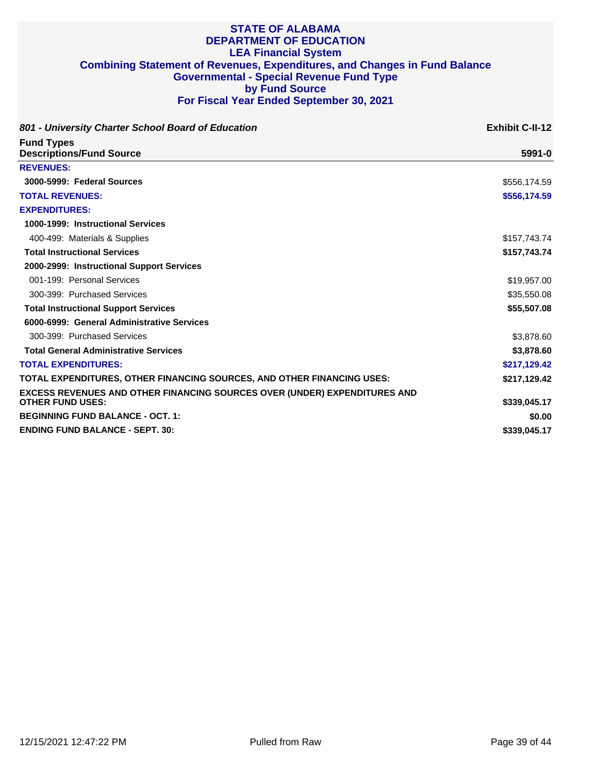| 801 - University Charter School Board of Education                               | <b>Exhibit C-II-12</b> |
|----------------------------------------------------------------------------------|------------------------|
| <b>Fund Types</b><br><b>Descriptions/Fund Source</b>                             | $5991 - 0$             |
|                                                                                  |                        |
| 3000-5999: Federal Sources                                                       | \$556,174.59           |
| <b>TOTAL REVENUES:</b>                                                           | \$556,174.59           |
| <b>EXPENDITURES:</b>                                                             |                        |
| 1000-1999: Instructional Services                                                |                        |
| 400-499: Materials & Supplies                                                    | \$157,743.74           |
| <b>Total Instructional Services</b>                                              | \$157,743.74           |
| 2000-2999: Instructional Support Services                                        |                        |
| 001-199: Personal Services                                                       | \$19,957.00            |
| 300-399: Purchased Services                                                      | \$35,550.08            |
| <b>Total Instructional Support Services</b>                                      | \$55,507.08            |
| 6000-6999: General Administrative Services                                       |                        |
| 300-399: Purchased Services                                                      | \$3,878.60             |
| <b>Total General Administrative Services</b>                                     | \$3,878.60             |
| <b>TOTAL EXPENDITURES:</b>                                                       | \$217,129.42           |
| TOTAL EXPENDITURES, OTHER FINANCING SOURCES, AND OTHER FINANCING USES:           | \$217,129.42           |
| <b>EXCESS REVENUES AND OTHER FINANCING SOURCES OVER (UNDER) EXPENDITURES AND</b> |                        |
| <b>OTHER FUND USES:</b>                                                          | \$339,045.17           |
| <b>BEGINNING FUND BALANCE - OCT. 1:</b>                                          | \$0.00                 |
| <b>ENDING FUND BALANCE - SEPT. 30:</b>                                           | \$339,045.17           |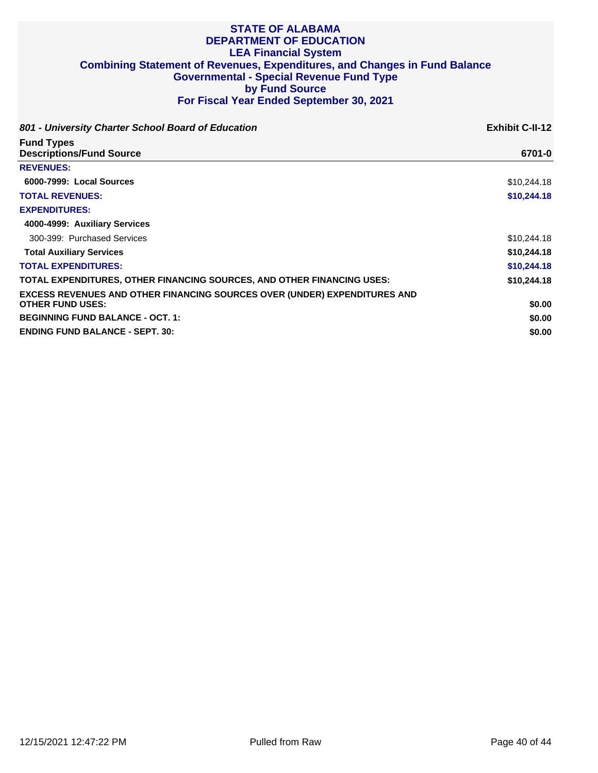| 801 - University Charter School Board of Education<br><b>Fund Types</b><br><b>Descriptions/Fund Source</b>  | <b>Exhibit C-II-12</b><br>6701-0 |
|-------------------------------------------------------------------------------------------------------------|----------------------------------|
|                                                                                                             |                                  |
| 6000-7999: Local Sources                                                                                    | \$10,244.18                      |
| <b>TOTAL REVENUES:</b>                                                                                      | \$10,244.18                      |
| <b>EXPENDITURES:</b>                                                                                        |                                  |
| 4000-4999: Auxiliary Services                                                                               |                                  |
| 300-399: Purchased Services                                                                                 | \$10,244.18                      |
| <b>Total Auxiliary Services</b>                                                                             | \$10,244.18                      |
| <b>TOTAL EXPENDITURES:</b>                                                                                  | \$10,244.18                      |
| TOTAL EXPENDITURES, OTHER FINANCING SOURCES, AND OTHER FINANCING USES:                                      | \$10,244.18                      |
| <b>EXCESS REVENUES AND OTHER FINANCING SOURCES OVER (UNDER) EXPENDITURES AND</b><br><b>OTHER FUND USES:</b> | \$0.00                           |
| <b>BEGINNING FUND BALANCE - OCT. 1:</b>                                                                     | \$0.00                           |
| <b>ENDING FUND BALANCE - SEPT. 30:</b>                                                                      | \$0.00                           |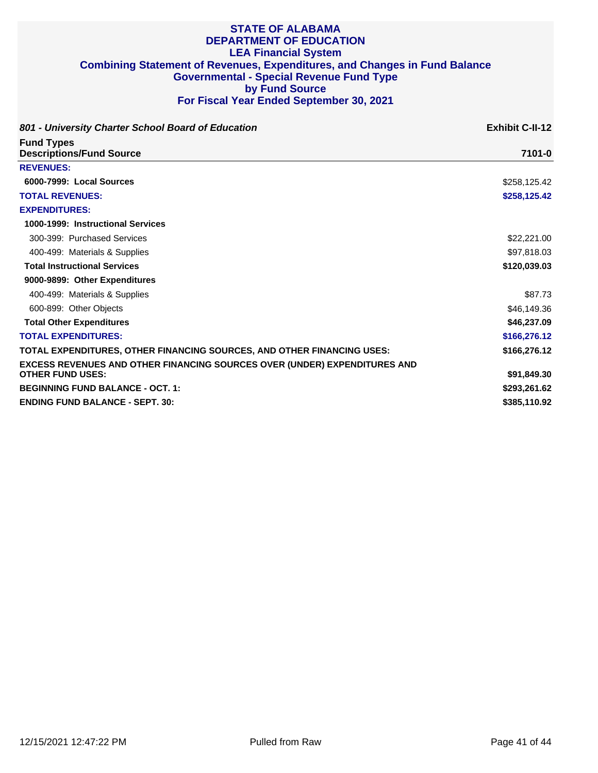| 801 - University Charter School Board of Education                                                          | <b>Exhibit C-II-12</b> |
|-------------------------------------------------------------------------------------------------------------|------------------------|
| <b>Fund Types</b><br><b>Descriptions/Fund Source</b>                                                        | 7101-0                 |
| <b>REVENUES:</b>                                                                                            |                        |
| 6000-7999: Local Sources                                                                                    | \$258,125.42           |
| <b>TOTAL REVENUES:</b>                                                                                      | \$258,125.42           |
| <b>EXPENDITURES:</b>                                                                                        |                        |
| 1000-1999: Instructional Services                                                                           |                        |
| 300-399: Purchased Services                                                                                 | \$22,221.00            |
| 400-499: Materials & Supplies                                                                               | \$97,818.03            |
| <b>Total Instructional Services</b>                                                                         | \$120,039.03           |
| 9000-9899: Other Expenditures                                                                               |                        |
| 400-499: Materials & Supplies                                                                               | \$87.73                |
| 600-899: Other Objects                                                                                      | \$46,149.36            |
| <b>Total Other Expenditures</b>                                                                             | \$46,237.09            |
| <b>TOTAL EXPENDITURES:</b>                                                                                  | \$166,276.12           |
| TOTAL EXPENDITURES, OTHER FINANCING SOURCES, AND OTHER FINANCING USES:                                      | \$166,276.12           |
| <b>EXCESS REVENUES AND OTHER FINANCING SOURCES OVER (UNDER) EXPENDITURES AND</b><br><b>OTHER FUND USES:</b> | \$91,849.30            |
| <b>BEGINNING FUND BALANCE - OCT. 1:</b>                                                                     | \$293,261.62           |
| <b>ENDING FUND BALANCE - SEPT. 30:</b>                                                                      | \$385,110.92           |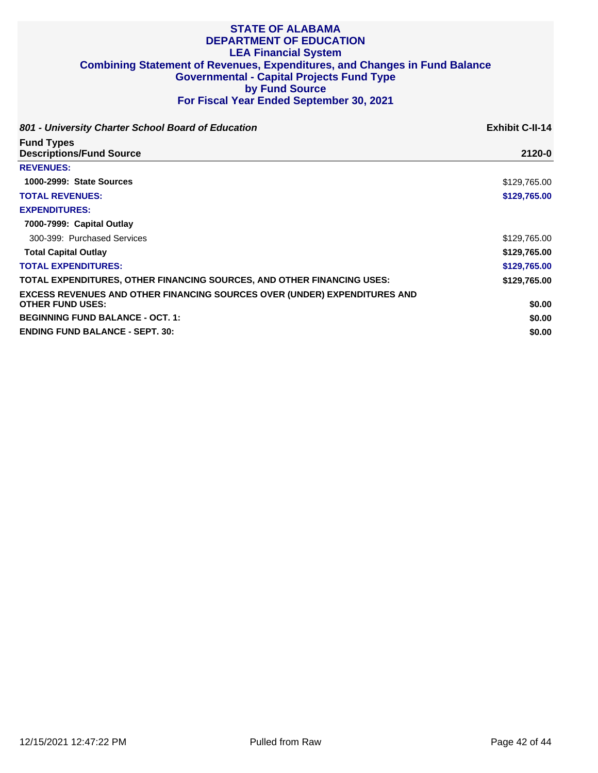| 801 - University Charter School Board of Education                                                          | <b>Exhibit C-II-14</b> |
|-------------------------------------------------------------------------------------------------------------|------------------------|
| <b>Fund Types</b><br><b>Descriptions/Fund Source</b>                                                        | 2120-0                 |
| <b>REVENUES:</b>                                                                                            |                        |
| 1000-2999: State Sources                                                                                    | \$129,765.00           |
| <b>TOTAL REVENUES:</b>                                                                                      | \$129,765.00           |
| <b>EXPENDITURES:</b>                                                                                        |                        |
| 7000-7999: Capital Outlay                                                                                   |                        |
| 300-399: Purchased Services                                                                                 | \$129,765.00           |
| <b>Total Capital Outlay</b>                                                                                 | \$129,765.00           |
| <b>TOTAL EXPENDITURES:</b>                                                                                  | \$129,765.00           |
| TOTAL EXPENDITURES, OTHER FINANCING SOURCES, AND OTHER FINANCING USES:                                      | \$129,765.00           |
| <b>EXCESS REVENUES AND OTHER FINANCING SOURCES OVER (UNDER) EXPENDITURES AND</b><br><b>OTHER FUND USES:</b> | \$0.00                 |
| <b>BEGINNING FUND BALANCE - OCT. 1:</b>                                                                     | \$0.00                 |
| <b>ENDING FUND BALANCE - SEPT. 30:</b>                                                                      | \$0.00                 |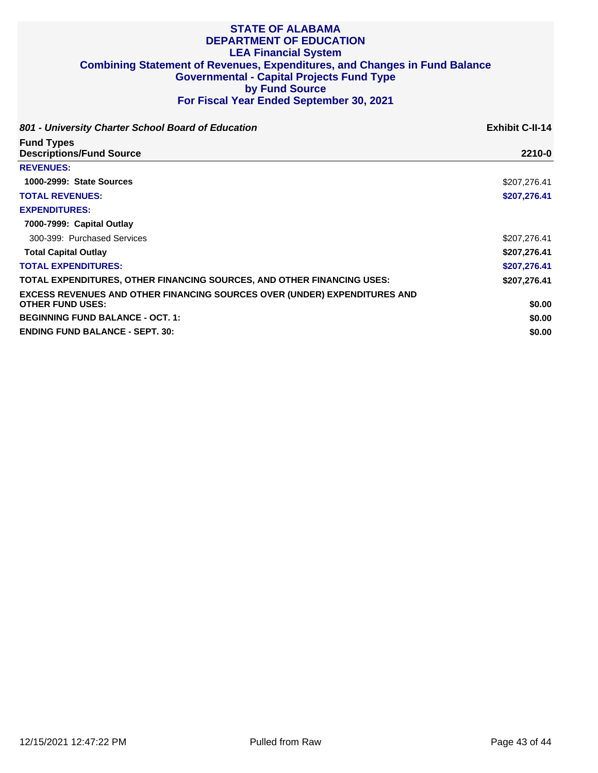| 801 - University Charter School Board of Education                                                          | <b>Exhibit C-II-14</b> |
|-------------------------------------------------------------------------------------------------------------|------------------------|
| <b>Fund Types</b><br><b>Descriptions/Fund Source</b>                                                        | 2210-0                 |
| <b>REVENUES:</b>                                                                                            |                        |
| 1000-2999: State Sources                                                                                    | \$207.276.41           |
| <b>TOTAL REVENUES:</b>                                                                                      | \$207,276.41           |
| <b>EXPENDITURES:</b>                                                                                        |                        |
| 7000-7999: Capital Outlay                                                                                   |                        |
| 300-399: Purchased Services                                                                                 | \$207,276.41           |
| <b>Total Capital Outlay</b>                                                                                 | \$207,276.41           |
| <b>TOTAL EXPENDITURES:</b>                                                                                  | \$207,276.41           |
| TOTAL EXPENDITURES, OTHER FINANCING SOURCES, AND OTHER FINANCING USES:                                      | \$207,276.41           |
| <b>EXCESS REVENUES AND OTHER FINANCING SOURCES OVER (UNDER) EXPENDITURES AND</b><br><b>OTHER FUND USES:</b> | \$0.00                 |
| <b>BEGINNING FUND BALANCE - OCT. 1:</b>                                                                     | \$0.00                 |
| <b>ENDING FUND BALANCE - SEPT. 30:</b>                                                                      | \$0.00                 |